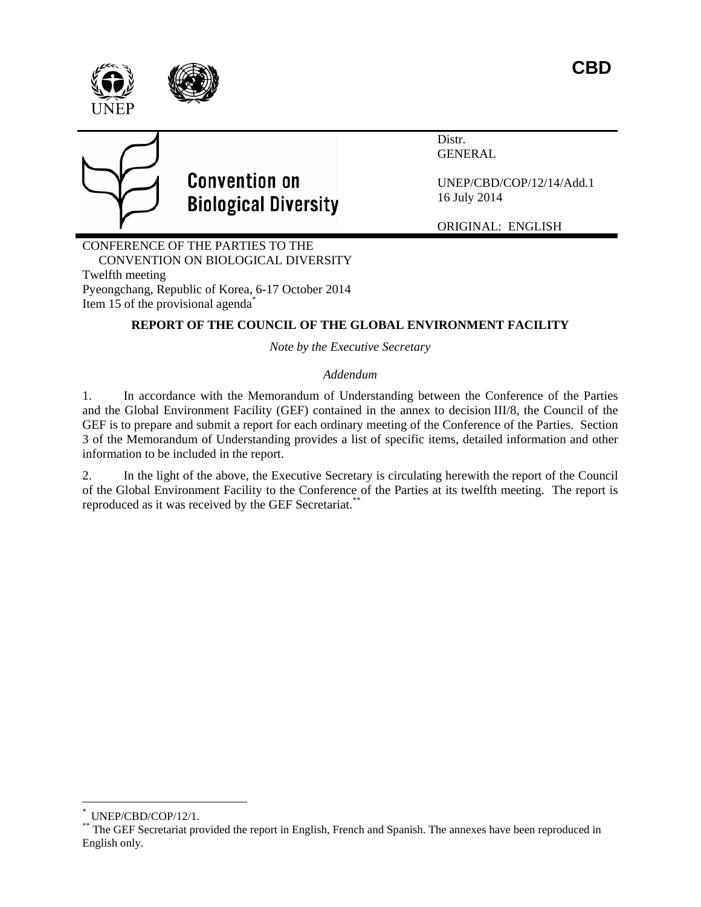



# **Convention on Biological Diversity**

Distr. GENERAL

UNEP/CBD/COP/12/14/Add.1 16 July 2014

ORIGINAL: ENGLISH

CONFERENCE OF THE PARTIES TO THE CONVENTION ON BIOLOGICAL DIVERSITY Twelfth meeting Pyeongchang, Republic of Korea, 6-17 October 2014 Item 15 of the provisional agenda<sup>\*</sup>

### **REPORT OF THE COUNCIL OF THE GLOBAL ENVIRONMENT FACILITY**

*Note by the Executive Secretary* 

### *Addendum*

1. In accordance with the Memorandum of Understanding between the Conference of the Parties and the Global Environment Facility (GEF) contained in the annex to decision III/8, the Council of the GEF is to prepare and submit a report for each ordinary meeting of the Conference of the Parties. Section 3 of the Memorandum of Understanding provides a list of specific items, detailed information and other information to be included in the report.

2. In the light of the above, the Executive Secretary is circulating herewith the report of the Council of the Global Environment Facility to the Conference of the Parties at its twelfth meeting. The report is reproduced as it was received by the GEF Secretariat.\*\*

 $\overline{a}$ 

UNEP/CBD/COP/12/1.

<sup>\*\*</sup> The GEF Secretariat provided the report in English, French and Spanish. The annexes have been reproduced in English only.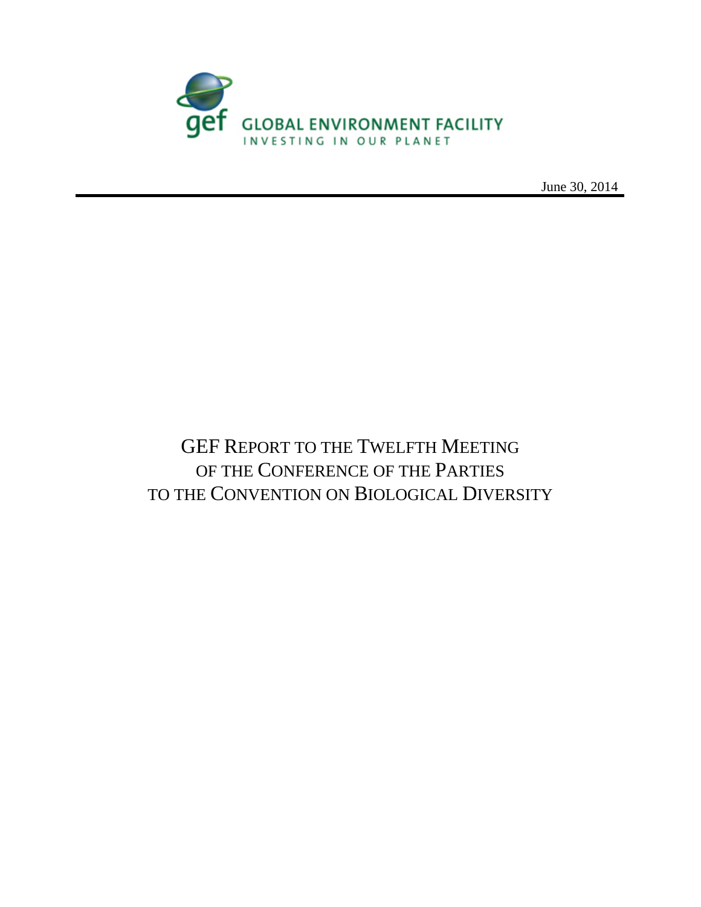

June 30, 2014

# GEF REPORT TO THE TWELFTH MEETING OF THE CONFERENCE OF THE PARTIES TO THE CONVENTION ON BIOLOGICAL DIVERSITY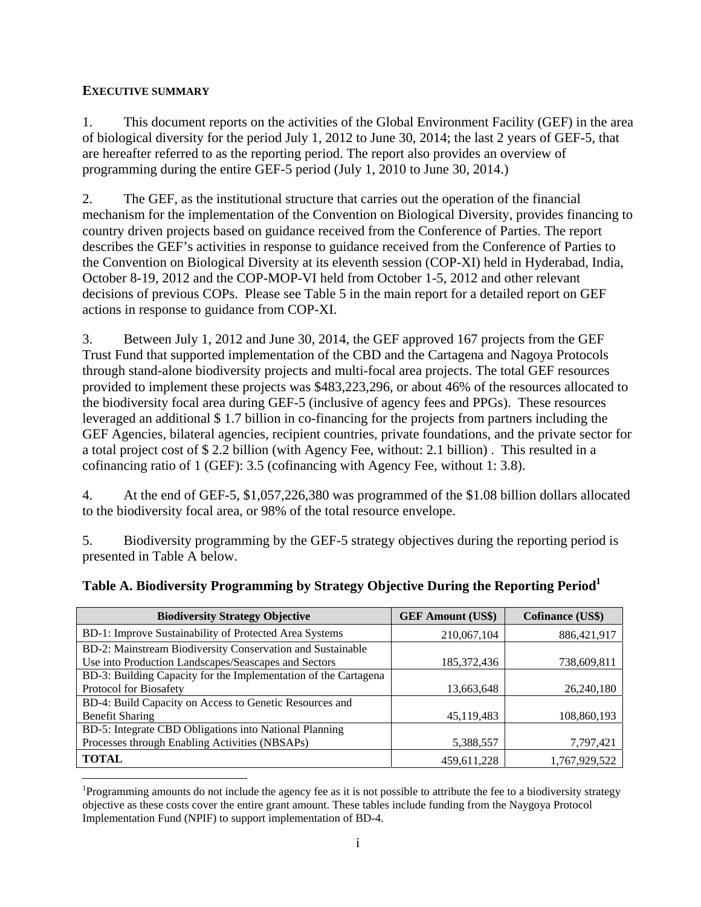#### **EXECUTIVE SUMMARY**

1. This document reports on the activities of the Global Environment Facility (GEF) in the area of biological diversity for the period July 1, 2012 to June 30, 2014; the last 2 years of GEF-5, that are hereafter referred to as the reporting period. The report also provides an overview of programming during the entire GEF-5 period (July 1, 2010 to June 30, 2014.)

2. The GEF, as the institutional structure that carries out the operation of the financial mechanism for the implementation of the Convention on Biological Diversity, provides financing to country driven projects based on guidance received from the Conference of Parties. The report describes the GEF's activities in response to guidance received from the Conference of Parties to the Convention on Biological Diversity at its eleventh session (COP-XI) held in Hyderabad, India, October 8-19, 2012 and the COP-MOP-VI held from October 1-5, 2012 and other relevant decisions of previous COPs. Please see Table 5 in the main report for a detailed report on GEF actions in response to guidance from COP-XI.

3. Between July 1, 2012 and June 30, 2014, the GEF approved 167 projects from the GEF Trust Fund that supported implementation of the CBD and the Cartagena and Nagoya Protocols through stand-alone biodiversity projects and multi-focal area projects. The total GEF resources provided to implement these projects was \$483,223,296, or about 46% of the resources allocated to the biodiversity focal area during GEF-5 (inclusive of agency fees and PPGs). These resources leveraged an additional \$ 1.7 billion in co-financing for the projects from partners including the GEF Agencies, bilateral agencies, recipient countries, private foundations, and the private sector for a total project cost of \$ 2.2 billion (with Agency Fee, without: 2.1 billion) . This resulted in a cofinancing ratio of 1 (GEF): 3.5 (cofinancing with Agency Fee, without 1: 3.8).

4. At the end of GEF-5, \$1,057,226,380 was programmed of the \$1.08 billion dollars allocated to the biodiversity focal area, or 98% of the total resource envelope.

5. Biodiversity programming by the GEF-5 strategy objectives during the reporting period is presented in Table A below.

| Table A. Biodiversity Programming by Strategy Objective During the Reporting Period <sup>1</sup> |                                                                                                                 |  |
|--------------------------------------------------------------------------------------------------|-----------------------------------------------------------------------------------------------------------------|--|
|                                                                                                  | the contract of the contract of the contract of the contract of the contract of the contract of the contract of |  |

| <b>Biodiversity Strategy Objective</b>                          | <b>GEF Amount (US\$)</b> | <b>Cofinance (US\$)</b> |
|-----------------------------------------------------------------|--------------------------|-------------------------|
| BD-1: Improve Sustainability of Protected Area Systems          | 210,067,104              | 886, 421, 917           |
| BD-2: Mainstream Biodiversity Conservation and Sustainable      |                          |                         |
| Use into Production Landscapes/Seascapes and Sectors            | 185,372,436              | 738,609,811             |
| BD-3: Building Capacity for the Implementation of the Cartagena |                          |                         |
| Protocol for Biosafety                                          | 13,663,648               | 26,240,180              |
| BD-4: Build Capacity on Access to Genetic Resources and         |                          |                         |
| <b>Benefit Sharing</b>                                          | 45,119,483               | 108,860,193             |
| BD-5: Integrate CBD Obligations into National Planning          |                          |                         |
| Processes through Enabling Activities (NBSAPs)                  | 5,388,557                | 7,797,421               |
| <b>TOTAL</b>                                                    | 459,611,228              | 1,767,929,522           |

 $\overline{a}$ <sup>1</sup>Programming amounts do not include the agency fee as it is not possible to attribute the fee to a biodiversity strategy objective as these costs cover the entire grant amount. These tables include funding from the Naygoya Protocol Implementation Fund (NPIF) to support implementation of BD-4.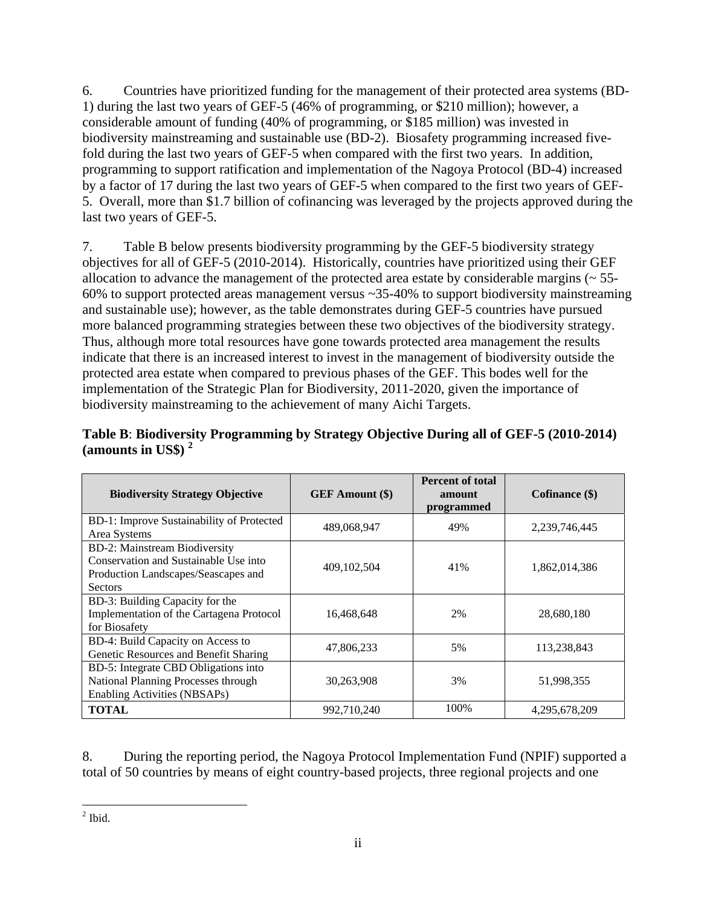6. Countries have prioritized funding for the management of their protected area systems (BD-1) during the last two years of GEF-5 (46% of programming, or \$210 million); however, a considerable amount of funding (40% of programming, or \$185 million) was invested in biodiversity mainstreaming and sustainable use (BD-2). Biosafety programming increased fivefold during the last two years of GEF-5 when compared with the first two years. In addition, programming to support ratification and implementation of the Nagoya Protocol (BD-4) increased by a factor of 17 during the last two years of GEF-5 when compared to the first two years of GEF-5. Overall, more than \$1.7 billion of cofinancing was leveraged by the projects approved during the last two years of GEF-5.

7. Table B below presents biodiversity programming by the GEF-5 biodiversity strategy objectives for all of GEF-5 (2010-2014). Historically, countries have prioritized using their GEF allocation to advance the management of the protected area estate by considerable margins  $($   $\sim$  55-60% to support protected areas management versus ~35-40% to support biodiversity mainstreaming and sustainable use); however, as the table demonstrates during GEF-5 countries have pursued more balanced programming strategies between these two objectives of the biodiversity strategy. Thus, although more total resources have gone towards protected area management the results indicate that there is an increased interest to invest in the management of biodiversity outside the protected area estate when compared to previous phases of the GEF. This bodes well for the implementation of the Strategic Plan for Biodiversity, 2011-2020, given the importance of biodiversity mainstreaming to the achievement of many Aichi Targets.

| <b>Biodiversity Strategy Objective</b>                                                                                          | <b>GEF</b> Amount (\$) | <b>Percent of total</b><br>amount<br>programmed | Cofinance $(\$)$ |
|---------------------------------------------------------------------------------------------------------------------------------|------------------------|-------------------------------------------------|------------------|
| BD-1: Improve Sustainability of Protected<br>Area Systems                                                                       | 489,068,947            | 49%                                             | 2,239,746,445    |
| BD-2: Mainstream Biodiversity<br>Conservation and Sustainable Use into<br>Production Landscapes/Seascapes and<br><b>Sectors</b> | 409, 102, 504          | 41%                                             | 1,862,014,386    |
| BD-3: Building Capacity for the<br>Implementation of the Cartagena Protocol<br>for Biosafety                                    | 16,468,648             | 2%                                              | 28,680,180       |
| BD-4: Build Capacity on Access to<br>Genetic Resources and Benefit Sharing                                                      | 47,806,233             | 5%                                              | 113,238,843      |
| BD-5: Integrate CBD Obligations into<br>National Planning Processes through<br><b>Enabling Activities (NBSAPs)</b>              | 30,263,908             | 3%                                              | 51,998,355       |
| <b>TOTAL</b>                                                                                                                    | 992,710,240            | 100%                                            | 4,295,678,209    |

|                       | Table B: Biodiversity Programming by Strategy Objective During all of GEF-5 (2010-2014) |  |
|-----------------------|-----------------------------------------------------------------------------------------|--|
| (amounts in US\$) $2$ |                                                                                         |  |

8. During the reporting period, the Nagoya Protocol Implementation Fund (NPIF) supported a total of 50 countries by means of eight country-based projects, three regional projects and one

 $\overline{a}$  $<sup>2</sup>$  Ibid.</sup>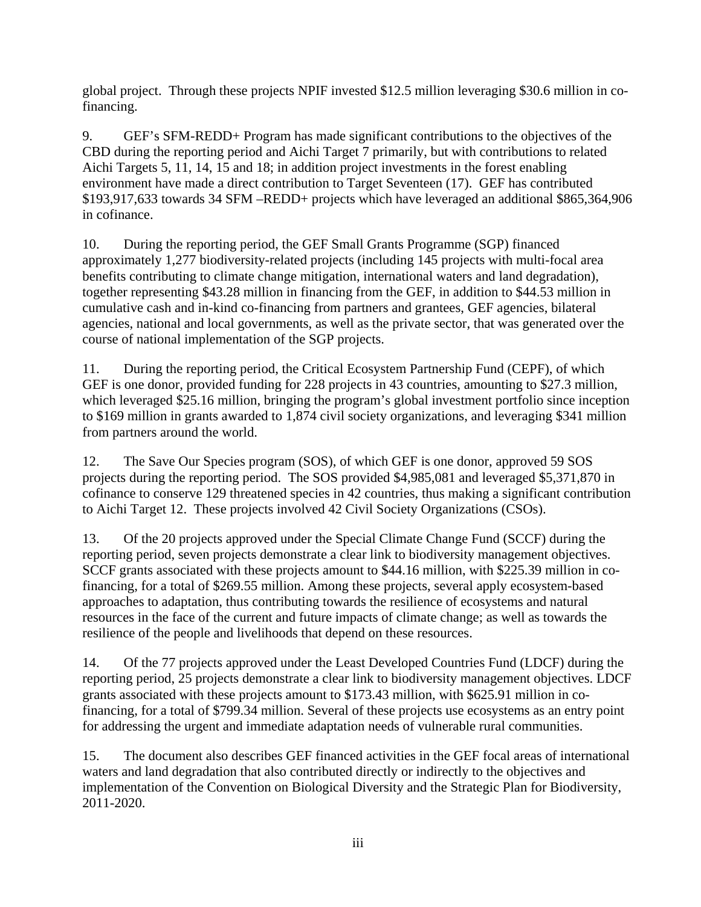global project. Through these projects NPIF invested \$12.5 million leveraging \$30.6 million in cofinancing.

9. GEF's SFM-REDD+ Program has made significant contributions to the objectives of the CBD during the reporting period and Aichi Target 7 primarily, but with contributions to related Aichi Targets 5, 11, 14, 15 and 18; in addition project investments in the forest enabling environment have made a direct contribution to Target Seventeen (17). GEF has contributed \$193,917,633 towards 34 SFM –REDD+ projects which have leveraged an additional \$865,364,906 in cofinance.

10. During the reporting period, the GEF Small Grants Programme (SGP) financed approximately 1,277 biodiversity-related projects (including 145 projects with multi-focal area benefits contributing to climate change mitigation, international waters and land degradation), together representing \$43.28 million in financing from the GEF, in addition to \$44.53 million in cumulative cash and in-kind co-financing from partners and grantees, GEF agencies, bilateral agencies, national and local governments, as well as the private sector, that was generated over the course of national implementation of the SGP projects.

11. During the reporting period, the Critical Ecosystem Partnership Fund (CEPF), of which GEF is one donor, provided funding for 228 projects in 43 countries, amounting to \$27.3 million, which leveraged \$25.16 million, bringing the program's global investment portfolio since inception to \$169 million in grants awarded to 1,874 civil society organizations, and leveraging \$341 million from partners around the world.

12. The Save Our Species program (SOS), of which GEF is one donor, approved 59 SOS projects during the reporting period. The SOS provided \$4,985,081 and leveraged \$5,371,870 in cofinance to conserve 129 threatened species in 42 countries, thus making a significant contribution to Aichi Target 12. These projects involved 42 Civil Society Organizations (CSOs).

13. Of the 20 projects approved under the Special Climate Change Fund (SCCF) during the reporting period, seven projects demonstrate a clear link to biodiversity management objectives. SCCF grants associated with these projects amount to \$44.16 million, with \$225.39 million in cofinancing, for a total of \$269.55 million. Among these projects, several apply ecosystem-based approaches to adaptation, thus contributing towards the resilience of ecosystems and natural resources in the face of the current and future impacts of climate change; as well as towards the resilience of the people and livelihoods that depend on these resources.

14. Of the 77 projects approved under the Least Developed Countries Fund (LDCF) during the reporting period, 25 projects demonstrate a clear link to biodiversity management objectives. LDCF grants associated with these projects amount to \$173.43 million, with \$625.91 million in cofinancing, for a total of \$799.34 million. Several of these projects use ecosystems as an entry point for addressing the urgent and immediate adaptation needs of vulnerable rural communities.

15. The document also describes GEF financed activities in the GEF focal areas of international waters and land degradation that also contributed directly or indirectly to the objectives and implementation of the Convention on Biological Diversity and the Strategic Plan for Biodiversity, 2011-2020.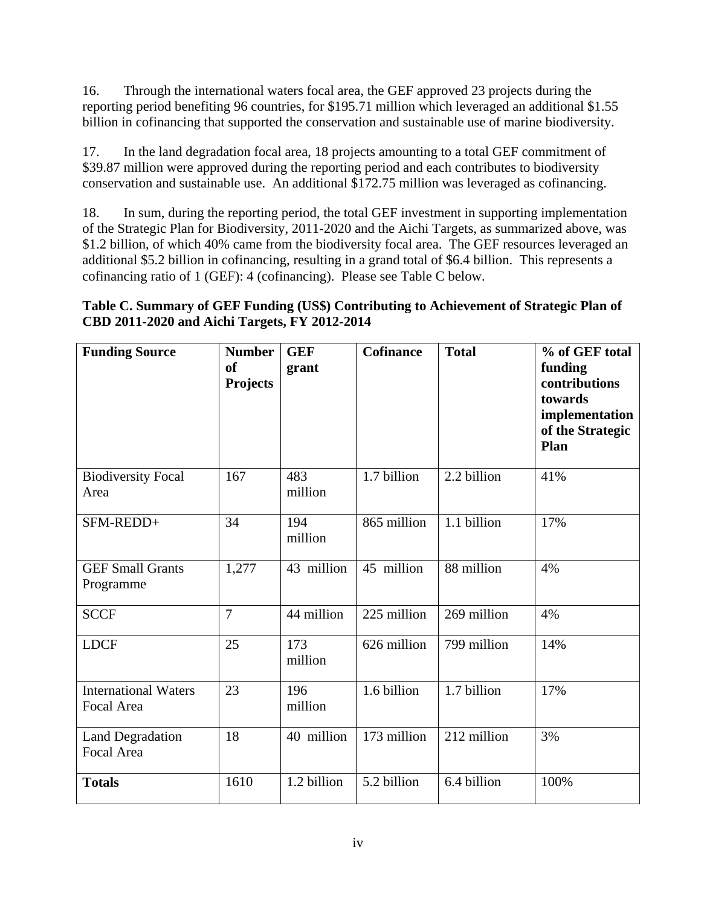16. Through the international waters focal area, the GEF approved 23 projects during the reporting period benefiting 96 countries, for \$195.71 million which leveraged an additional \$1.55 billion in cofinancing that supported the conservation and sustainable use of marine biodiversity.

17. In the land degradation focal area, 18 projects amounting to a total GEF commitment of \$39.87 million were approved during the reporting period and each contributes to biodiversity conservation and sustainable use. An additional \$172.75 million was leveraged as cofinancing.

18. In sum, during the reporting period, the total GEF investment in supporting implementation of the Strategic Plan for Biodiversity, 2011-2020 and the Aichi Targets, as summarized above, was \$1.2 billion, of which 40% came from the biodiversity focal area. The GEF resources leveraged an additional \$5.2 billion in cofinancing, resulting in a grand total of \$6.4 billion. This represents a cofinancing ratio of 1 (GEF): 4 (cofinancing). Please see Table C below.

# **Table C. Summary of GEF Funding (US\$) Contributing to Achievement of Strategic Plan of CBD 2011-2020 and Aichi Targets, FY 2012-2014**

| <b>Funding Source</b>                     | <b>Number</b><br><sub>of</sub><br><b>Projects</b> | <b>GEF</b><br>grant | <b>Cofinance</b> | <b>Total</b> | % of GEF total<br>funding<br>contributions<br>towards<br>implementation<br>of the Strategic<br>Plan |
|-------------------------------------------|---------------------------------------------------|---------------------|------------------|--------------|-----------------------------------------------------------------------------------------------------|
| <b>Biodiversity Focal</b><br>Area         | 167                                               | 483<br>million      | 1.7 billion      | 2.2 billion  | 41%                                                                                                 |
| SFM-REDD+                                 | 34                                                | 194<br>million      | 865 million      | 1.1 billion  | 17%                                                                                                 |
| <b>GEF Small Grants</b><br>Programme      | 1,277                                             | 43 million          | 45 million       | 88 million   | 4%                                                                                                  |
| <b>SCCF</b>                               | $\overline{7}$                                    | 44 million          | 225 million      | 269 million  | 4%                                                                                                  |
| <b>LDCF</b>                               | 25                                                | 173<br>million      | 626 million      | 799 million  | 14%                                                                                                 |
| <b>International Waters</b><br>Focal Area | 23                                                | 196<br>million      | 1.6 billion      | 1.7 billion  | 17%                                                                                                 |
| <b>Land Degradation</b><br>Focal Area     | 18                                                | 40 million          | 173 million      | 212 million  | 3%                                                                                                  |
| <b>Totals</b>                             | 1610                                              | 1.2 billion         | 5.2 billion      | 6.4 billion  | 100%                                                                                                |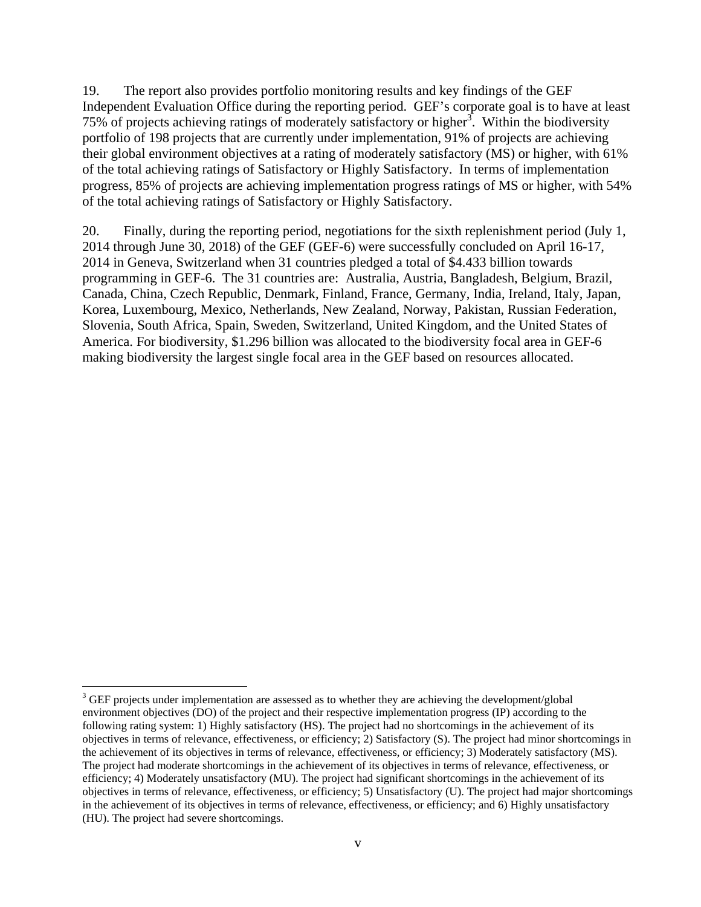19. The report also provides portfolio monitoring results and key findings of the GEF Independent Evaluation Office during the reporting period. GEF's corporate goal is to have at least 75% of projects achieving ratings of moderately satisfactory or higher $3$ . Within the biodiversity portfolio of 198 projects that are currently under implementation, 91% of projects are achieving their global environment objectives at a rating of moderately satisfactory (MS) or higher, with 61% of the total achieving ratings of Satisfactory or Highly Satisfactory. In terms of implementation progress, 85% of projects are achieving implementation progress ratings of MS or higher, with 54% of the total achieving ratings of Satisfactory or Highly Satisfactory.

20. Finally, during the reporting period, negotiations for the sixth replenishment period (July 1, 2014 through June 30, 2018) of the GEF (GEF-6) were successfully concluded on April 16-17, 2014 in Geneva, Switzerland when 31 countries pledged a total of \$4.433 billion towards programming in GEF-6. The 31 countries are: Australia, Austria, Bangladesh, Belgium, Brazil, Canada, China, Czech Republic, Denmark, Finland, France, Germany, India, Ireland, Italy, Japan, Korea, Luxembourg, Mexico, Netherlands, New Zealand, Norway, Pakistan, Russian Federation, Slovenia, South Africa, Spain, Sweden, Switzerland, United Kingdom, and the United States of America. For biodiversity, \$1.296 billion was allocated to the biodiversity focal area in GEF-6 making biodiversity the largest single focal area in the GEF based on resources allocated.

 $\overline{a}$ 

 $3$  GEF projects under implementation are assessed as to whether they are achieving the development/global environment objectives (DO) of the project and their respective implementation progress (IP) according to the following rating system: 1) Highly satisfactory (HS). The project had no shortcomings in the achievement of its objectives in terms of relevance, effectiveness, or efficiency; 2) Satisfactory (S). The project had minor shortcomings in the achievement of its objectives in terms of relevance, effectiveness, or efficiency; 3) Moderately satisfactory (MS). The project had moderate shortcomings in the achievement of its objectives in terms of relevance, effectiveness, or efficiency; 4) Moderately unsatisfactory (MU). The project had significant shortcomings in the achievement of its objectives in terms of relevance, effectiveness, or efficiency; 5) Unsatisfactory (U). The project had major shortcomings in the achievement of its objectives in terms of relevance, effectiveness, or efficiency; and 6) Highly unsatisfactory (HU). The project had severe shortcomings.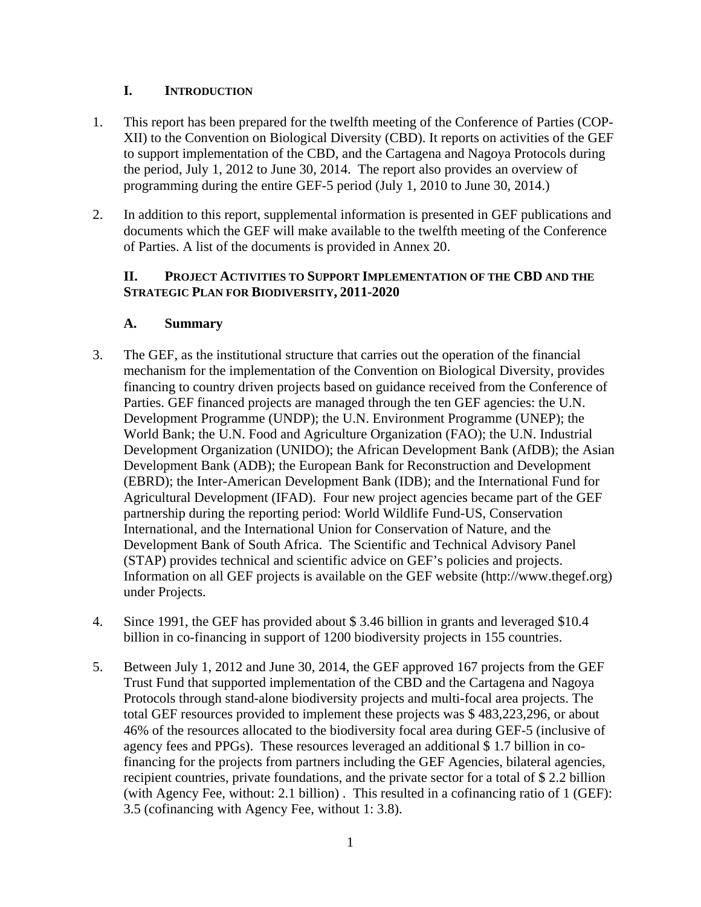# **I. INTRODUCTION**

- 1. This report has been prepared for the twelfth meeting of the Conference of Parties (COP-XII) to the Convention on Biological Diversity (CBD). It reports on activities of the GEF to support implementation of the CBD, and the Cartagena and Nagoya Protocols during the period, July 1, 2012 to June 30, 2014. The report also provides an overview of programming during the entire GEF-5 period (July 1, 2010 to June 30, 2014.)
- 2. In addition to this report, supplemental information is presented in GEF publications and documents which the GEF will make available to the twelfth meeting of the Conference of Parties. A list of the documents is provided in Annex 20.

#### **II. PROJECT ACTIVITIES TO SUPPORT IMPLEMENTATION OF THE CBD AND THE STRATEGIC PLAN FOR BIODIVERSITY, 2011-2020**

# **A. Summary**

- 3. The GEF, as the institutional structure that carries out the operation of the financial mechanism for the implementation of the Convention on Biological Diversity, provides financing to country driven projects based on guidance received from the Conference of Parties. GEF financed projects are managed through the ten GEF agencies: the U.N. Development Programme (UNDP); the U.N. Environment Programme (UNEP); the World Bank; the U.N. Food and Agriculture Organization (FAO); the U.N. Industrial Development Organization (UNIDO); the African Development Bank (AfDB); the Asian Development Bank (ADB); the European Bank for Reconstruction and Development (EBRD); the Inter-American Development Bank (IDB); and the International Fund for Agricultural Development (IFAD). Four new project agencies became part of the GEF partnership during the reporting period: World Wildlife Fund-US, Conservation International, and the International Union for Conservation of Nature, and the Development Bank of South Africa. The Scientific and Technical Advisory Panel (STAP) provides technical and scientific advice on GEF's policies and projects. Information on all GEF projects is available on the GEF website (http://www.thegef.org) under Projects.
- 4. Since 1991, the GEF has provided about \$ 3.46 billion in grants and leveraged \$10.4 billion in co-financing in support of 1200 biodiversity projects in 155 countries.
- 5. Between July 1, 2012 and June 30, 2014, the GEF approved 167 projects from the GEF Trust Fund that supported implementation of the CBD and the Cartagena and Nagoya Protocols through stand-alone biodiversity projects and multi-focal area projects. The total GEF resources provided to implement these projects was \$ 483,223,296, or about 46% of the resources allocated to the biodiversity focal area during GEF-5 (inclusive of agency fees and PPGs). These resources leveraged an additional \$ 1.7 billion in cofinancing for the projects from partners including the GEF Agencies, bilateral agencies, recipient countries, private foundations, and the private sector for a total of \$ 2.2 billion (with Agency Fee, without: 2.1 billion) . This resulted in a cofinancing ratio of 1 (GEF): 3.5 (cofinancing with Agency Fee, without 1: 3.8).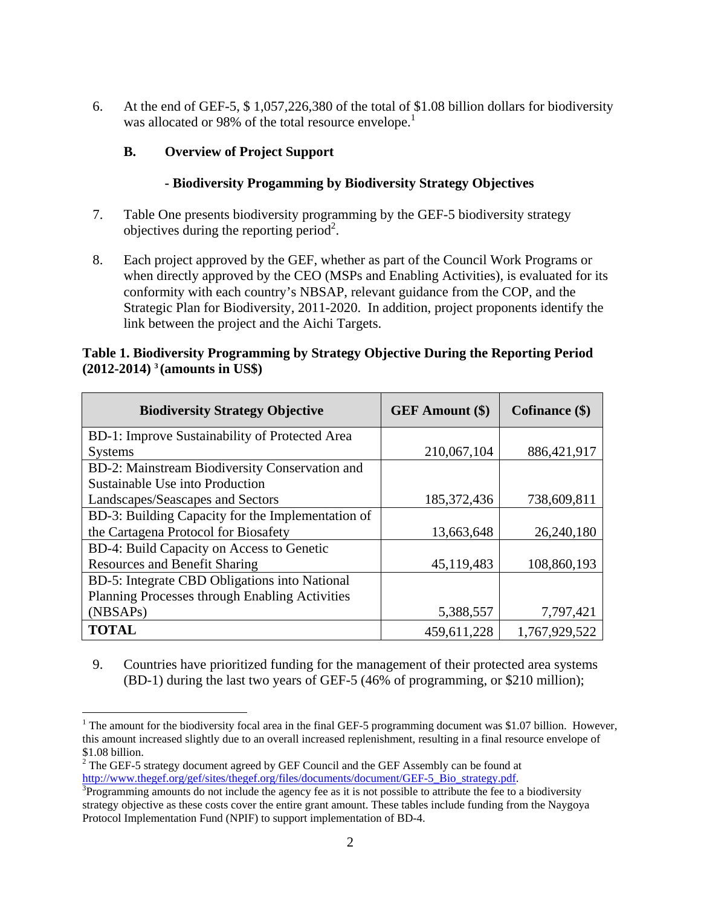6. At the end of GEF-5, \$ 1,057,226,380 of the total of \$1.08 billion dollars for biodiversity was allocated or 98% of the total resource envelope.<sup>1</sup>

# **B. Overview of Project Support**

# **- Biodiversity Progamming by Biodiversity Strategy Objectives**

- 7. Table One presents biodiversity programming by the GEF-5 biodiversity strategy objectives during the reporting period<sup>2</sup>.
- 8. Each project approved by the GEF, whether as part of the Council Work Programs or when directly approved by the CEO (MSPs and Enabling Activities), is evaluated for its conformity with each country's NBSAP, relevant guidance from the COP, and the Strategic Plan for Biodiversity, 2011-2020. In addition, project proponents identify the link between the project and the Aichi Targets.

### **Table 1. Biodiversity Programming by Strategy Objective During the Reporting Period (2012-2014) 3 (amounts in US\$)**

| <b>Biodiversity Strategy Objective</b>                | <b>GEF</b> Amount (\$) | Cofinance (\$) |
|-------------------------------------------------------|------------------------|----------------|
| BD-1: Improve Sustainability of Protected Area        |                        |                |
| <b>Systems</b>                                        | 210,067,104            | 886,421,917    |
| BD-2: Mainstream Biodiversity Conservation and        |                        |                |
| Sustainable Use into Production                       |                        |                |
| Landscapes/Seascapes and Sectors                      | 185, 372, 436          | 738,609,811    |
| BD-3: Building Capacity for the Implementation of     |                        |                |
| the Cartagena Protocol for Biosafety                  | 13,663,648             | 26,240,180     |
| BD-4: Build Capacity on Access to Genetic             |                        |                |
| <b>Resources and Benefit Sharing</b>                  | 45,119,483             | 108,860,193    |
| BD-5: Integrate CBD Obligations into National         |                        |                |
| <b>Planning Processes through Enabling Activities</b> |                        |                |
| (NBSAP <sub>s</sub> )                                 | 5,388,557              | 7,797,421      |
| <b>TOTAL</b>                                          | 459,611,228            | 1,767,929,522  |

9. Countries have prioritized funding for the management of their protected area systems (BD-1) during the last two years of GEF-5 (46% of programming, or \$210 million);

 $\overline{a}$ 

<sup>&</sup>lt;sup>1</sup> The amount for the biodiversity focal area in the final GEF-5 programming document was \$1.07 billion. However, this amount increased slightly due to an overall increased replenishment, resulting in a final resource envelope of \$1.08 billion.

 $2^2$  The GEF-5 strategy document agreed by GEF Council and the GEF Assembly can be found at http://www.thegef.org/gef/sites/thegef.org/files/documents/document/GEF-5\_Bio\_strategy.pdf.

<sup>&</sup>lt;sup>3</sup>Programming amounts do not include the agency fee as it is not possible to attribute the fee to a biodiversity strategy objective as these costs cover the entire grant amount. These tables include funding from the Naygoya Protocol Implementation Fund (NPIF) to support implementation of BD-4.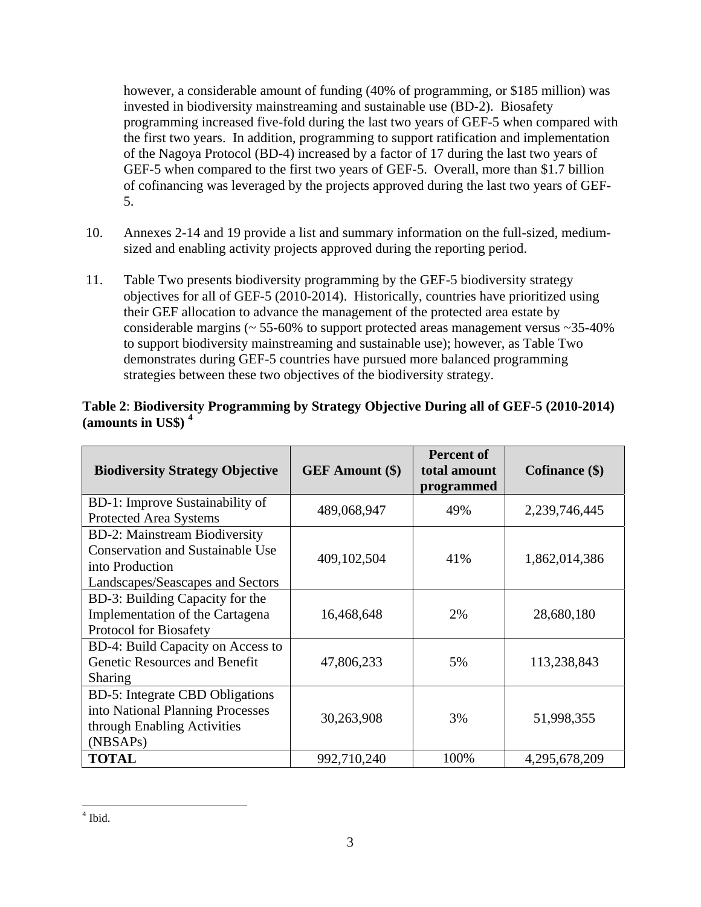however, a considerable amount of funding (40% of programming, or \$185 million) was invested in biodiversity mainstreaming and sustainable use (BD-2). Biosafety programming increased five-fold during the last two years of GEF-5 when compared with the first two years. In addition, programming to support ratification and implementation of the Nagoya Protocol (BD-4) increased by a factor of 17 during the last two years of GEF-5 when compared to the first two years of GEF-5. Overall, more than \$1.7 billion of cofinancing was leveraged by the projects approved during the last two years of GEF-5.

- 10. Annexes 2-14 and 19 provide a list and summary information on the full-sized, mediumsized and enabling activity projects approved during the reporting period.
- 11. Table Two presents biodiversity programming by the GEF-5 biodiversity strategy objectives for all of GEF-5 (2010-2014). Historically, countries have prioritized using their GEF allocation to advance the management of the protected area estate by considerable margins ( $\sim$  55-60% to support protected areas management versus  $\sim$  35-40% to support biodiversity mainstreaming and sustainable use); however, as Table Two demonstrates during GEF-5 countries have pursued more balanced programming strategies between these two objectives of the biodiversity strategy.

# **Table 2**: **Biodiversity Programming by Strategy Objective During all of GEF-5 (2010-2014) (amounts in US\$) 4**

| <b>Biodiversity Strategy Objective</b>                                                                                                 | <b>GEF</b> Amount (\$) | <b>Percent of</b><br>total amount<br>programmed | Cofinance (\$) |
|----------------------------------------------------------------------------------------------------------------------------------------|------------------------|-------------------------------------------------|----------------|
| BD-1: Improve Sustainability of<br><b>Protected Area Systems</b>                                                                       | 489,068,947            | 49%                                             | 2,239,746,445  |
| <b>BD-2: Mainstream Biodiversity</b><br><b>Conservation and Sustainable Use</b><br>into Production<br>Landscapes/Seascapes and Sectors | 409, 102, 504          | 41%                                             | 1,862,014,386  |
| BD-3: Building Capacity for the<br>Implementation of the Cartagena<br><b>Protocol for Biosafety</b>                                    | 16,468,648             | 2%                                              | 28,680,180     |
| BD-4: Build Capacity on Access to<br>Genetic Resources and Benefit<br><b>Sharing</b>                                                   | 47,806,233             | 5%                                              | 113,238,843    |
| <b>BD-5: Integrate CBD Obligations</b><br>into National Planning Processes<br>through Enabling Activities<br>(NBSAP <sub>s</sub> )     | 30,263,908             | 3%                                              | 51,998,355     |
| <b>TOTAL</b>                                                                                                                           | 992,710,240            | 100%                                            | 4,295,678,209  |

 $4$  Ibid.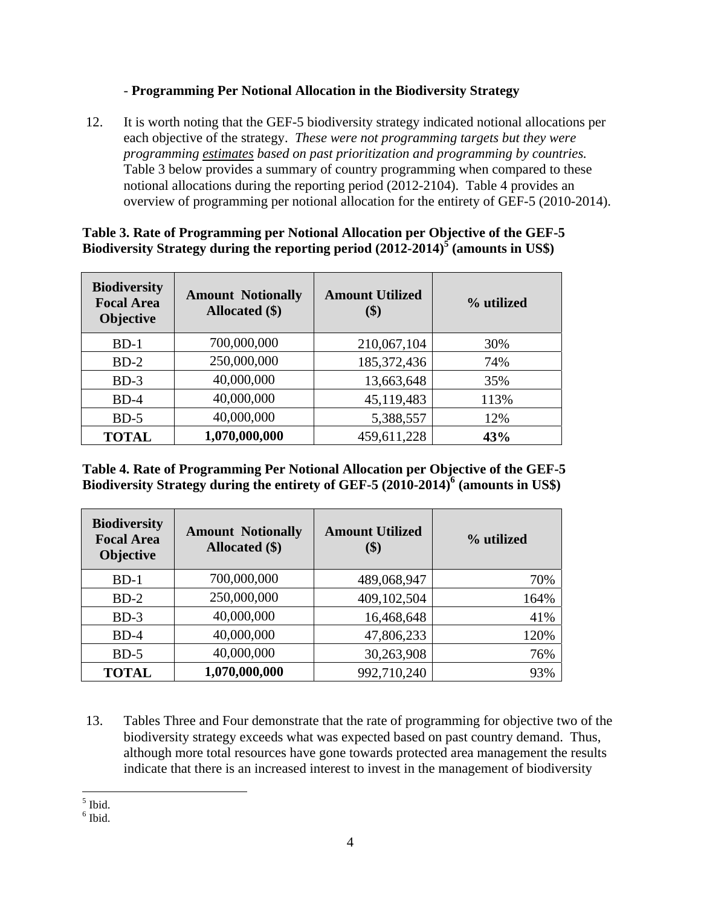# - **Programming Per Notional Allocation in the Biodiversity Strategy**

12. It is worth noting that the GEF-5 biodiversity strategy indicated notional allocations per each objective of the strategy. *These were not programming targets but they were programming estimates based on past prioritization and programming by countries.* Table 3 below provides a summary of country programming when compared to these notional allocations during the reporting period (2012-2104). Table 4 provides an overview of programming per notional allocation for the entirety of GEF-5 (2010-2014).

| <b>Biodiversity</b><br><b>Focal Area</b><br><b>Objective</b> | <b>Amount Notionally</b><br>Allocated (\$) | <b>Amount Utilized</b><br>(\$) | % utilized |
|--------------------------------------------------------------|--------------------------------------------|--------------------------------|------------|
| $BD-1$                                                       | 700,000,000                                | 210,067,104                    | 30%        |
| $BD-2$                                                       | 250,000,000                                | 185, 372, 436                  | 74%        |
| $BD-3$                                                       | 40,000,000                                 | 13,663,648                     | 35%        |
| $BD-4$                                                       | 40,000,000                                 | 45,119,483                     | 113%       |
| $BD-5$                                                       | 40,000,000                                 | 5,388,557                      | 12%        |
| <b>TOTAL</b>                                                 | 1,070,000,000                              | 459,611,228                    | 43%        |

# **Table 3. Rate of Programming per Notional Allocation per Objective of the GEF-5**  Biodiversity Strategy during the reporting period  $(2012-2014)^5$  (amounts in US\$)

**Table 4. Rate of Programming Per Notional Allocation per Objective of the GEF-5 Biodiversity Strategy during the entirety of GEF-5 (2010-2014)<sup>6</sup> (amounts in US\$)** 

| <b>Biodiversity</b><br><b>Focal Area</b><br>Objective | <b>Amount Notionally</b><br>Allocated (\$) | <b>Amount Utilized</b><br>\$) | % utilized |
|-------------------------------------------------------|--------------------------------------------|-------------------------------|------------|
| $BD-1$                                                | 700,000,000                                | 489,068,947                   | 70%        |
| $BD-2$                                                | 250,000,000                                | 409,102,504                   | 164%       |
| $BD-3$                                                | 40,000,000                                 | 16,468,648                    | 41%        |
| $BD-4$                                                | 40,000,000                                 | 47,806,233                    | 120%       |
| $BD-5$                                                | 40,000,000                                 | 30,263,908                    | 76%        |
| <b>TOTAL</b>                                          | 1,070,000,000                              | 992,710,240                   | 93%        |

13. Tables Three and Four demonstrate that the rate of programming for objective two of the biodiversity strategy exceeds what was expected based on past country demand. Thus, although more total resources have gone towards protected area management the results indicate that there is an increased interest to invest in the management of biodiversity

 $\overline{a}$ 5 Ibid.

 $<sup>6</sup>$  Ibid.</sup>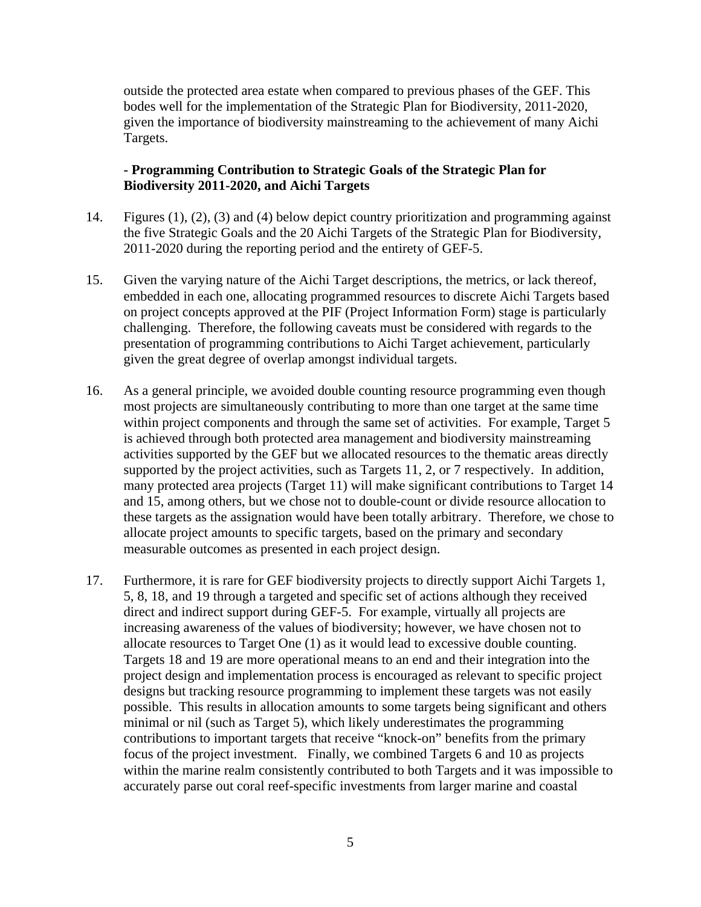outside the protected area estate when compared to previous phases of the GEF. This bodes well for the implementation of the Strategic Plan for Biodiversity, 2011-2020, given the importance of biodiversity mainstreaming to the achievement of many Aichi Targets.

#### **- Programming Contribution to Strategic Goals of the Strategic Plan for Biodiversity 2011-2020, and Aichi Targets**

- 14. Figures (1), (2), (3) and (4) below depict country prioritization and programming against the five Strategic Goals and the 20 Aichi Targets of the Strategic Plan for Biodiversity, 2011-2020 during the reporting period and the entirety of GEF-5.
- 15. Given the varying nature of the Aichi Target descriptions, the metrics, or lack thereof, embedded in each one, allocating programmed resources to discrete Aichi Targets based on project concepts approved at the PIF (Project Information Form) stage is particularly challenging. Therefore, the following caveats must be considered with regards to the presentation of programming contributions to Aichi Target achievement, particularly given the great degree of overlap amongst individual targets.
- 16. As a general principle, we avoided double counting resource programming even though most projects are simultaneously contributing to more than one target at the same time within project components and through the same set of activities. For example, Target 5 is achieved through both protected area management and biodiversity mainstreaming activities supported by the GEF but we allocated resources to the thematic areas directly supported by the project activities, such as Targets 11, 2, or 7 respectively. In addition, many protected area projects (Target 11) will make significant contributions to Target 14 and 15, among others, but we chose not to double-count or divide resource allocation to these targets as the assignation would have been totally arbitrary. Therefore, we chose to allocate project amounts to specific targets, based on the primary and secondary measurable outcomes as presented in each project design.
- 17. Furthermore, it is rare for GEF biodiversity projects to directly support Aichi Targets 1, 5, 8, 18, and 19 through a targeted and specific set of actions although they received direct and indirect support during GEF-5. For example, virtually all projects are increasing awareness of the values of biodiversity; however, we have chosen not to allocate resources to Target One (1) as it would lead to excessive double counting. Targets 18 and 19 are more operational means to an end and their integration into the project design and implementation process is encouraged as relevant to specific project designs but tracking resource programming to implement these targets was not easily possible. This results in allocation amounts to some targets being significant and others minimal or nil (such as Target 5), which likely underestimates the programming contributions to important targets that receive "knock-on" benefits from the primary focus of the project investment. Finally, we combined Targets 6 and 10 as projects within the marine realm consistently contributed to both Targets and it was impossible to accurately parse out coral reef-specific investments from larger marine and coastal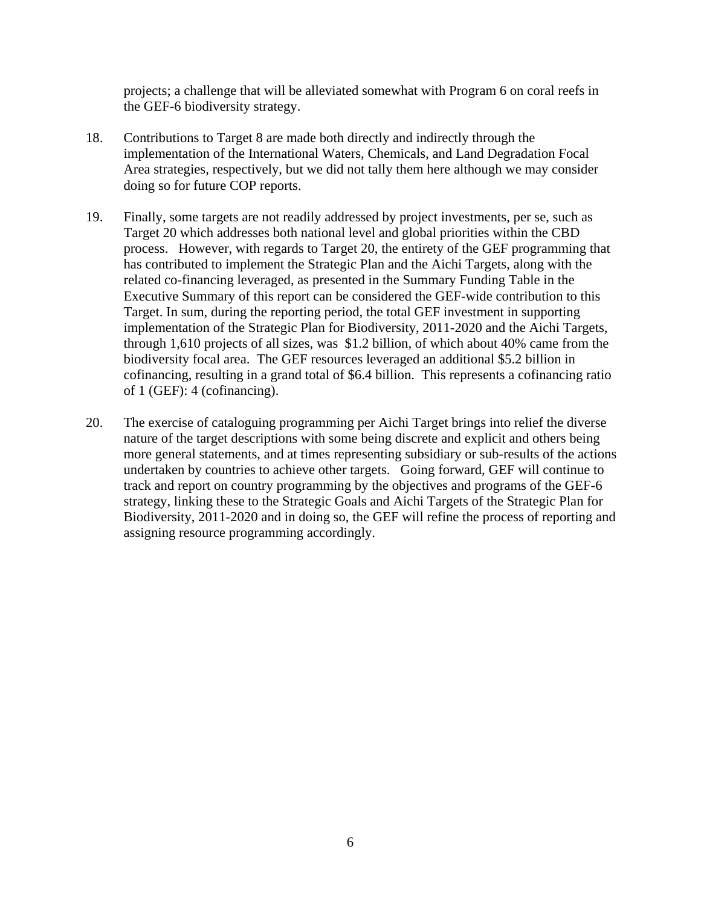projects; a challenge that will be alleviated somewhat with Program 6 on coral reefs in the GEF-6 biodiversity strategy.

- 18. Contributions to Target 8 are made both directly and indirectly through the implementation of the International Waters, Chemicals, and Land Degradation Focal Area strategies, respectively, but we did not tally them here although we may consider doing so for future COP reports.
- 19. Finally, some targets are not readily addressed by project investments, per se, such as Target 20 which addresses both national level and global priorities within the CBD process. However, with regards to Target 20, the entirety of the GEF programming that has contributed to implement the Strategic Plan and the Aichi Targets, along with the related co-financing leveraged, as presented in the Summary Funding Table in the Executive Summary of this report can be considered the GEF-wide contribution to this Target. In sum, during the reporting period, the total GEF investment in supporting implementation of the Strategic Plan for Biodiversity, 2011-2020 and the Aichi Targets, through 1,610 projects of all sizes, was \$1.2 billion, of which about 40% came from the biodiversity focal area. The GEF resources leveraged an additional \$5.2 billion in cofinancing, resulting in a grand total of \$6.4 billion. This represents a cofinancing ratio of 1 (GEF): 4 (cofinancing).
- 20. The exercise of cataloguing programming per Aichi Target brings into relief the diverse nature of the target descriptions with some being discrete and explicit and others being more general statements, and at times representing subsidiary or sub-results of the actions undertaken by countries to achieve other targets. Going forward, GEF will continue to track and report on country programming by the objectives and programs of the GEF-6 strategy, linking these to the Strategic Goals and Aichi Targets of the Strategic Plan for Biodiversity, 2011-2020 and in doing so, the GEF will refine the process of reporting and assigning resource programming accordingly.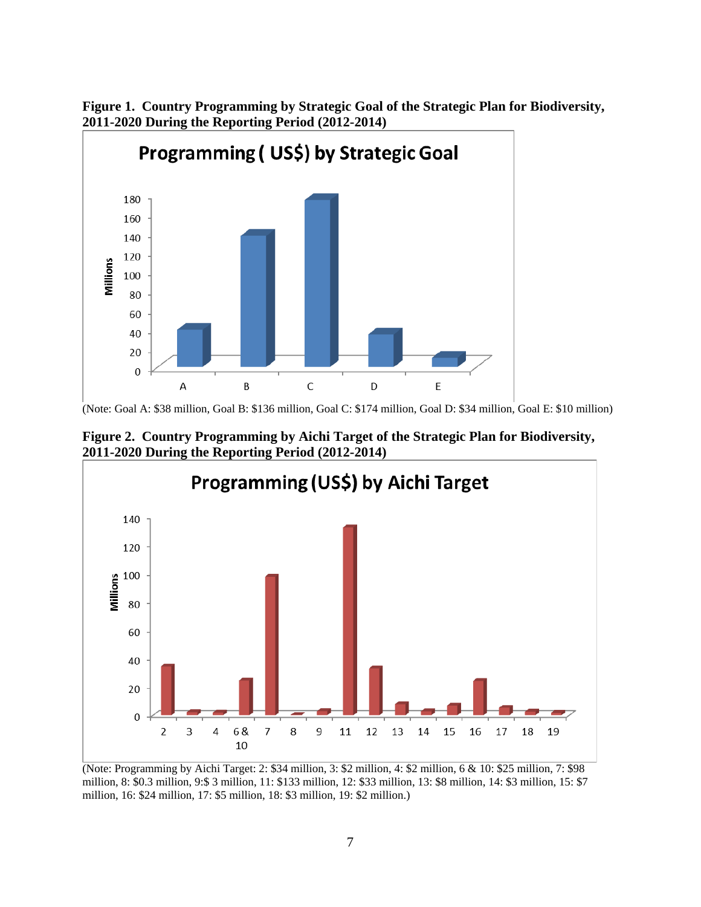

**Figure 1. Country Programming by Strategic Goal of the Strategic Plan for Biodiversity, 2011-2020 During the Reporting Period (2012-2014)** 

**Figure 2. Country Programming by Aichi Target of the Strategic Plan for Biodiversity, 2011-2020 During the Reporting Period (2012-2014)** 



(Note: Programming by Aichi Target: 2: \$34 million, 3: \$2 million, 4: \$2 million, 6 & 10: \$25 million, 7: \$98 million, 8: \$0.3 million, 9:\$ 3 million, 11: \$133 million, 12: \$33 million, 13: \$8 million, 14: \$3 million, 15: \$7 million, 16: \$24 million, 17: \$5 million, 18: \$3 million, 19: \$2 million.)

<sup>(</sup>Note: Goal A: \$38 million, Goal B: \$136 million, Goal C: \$174 million, Goal D: \$34 million, Goal E: \$10 million)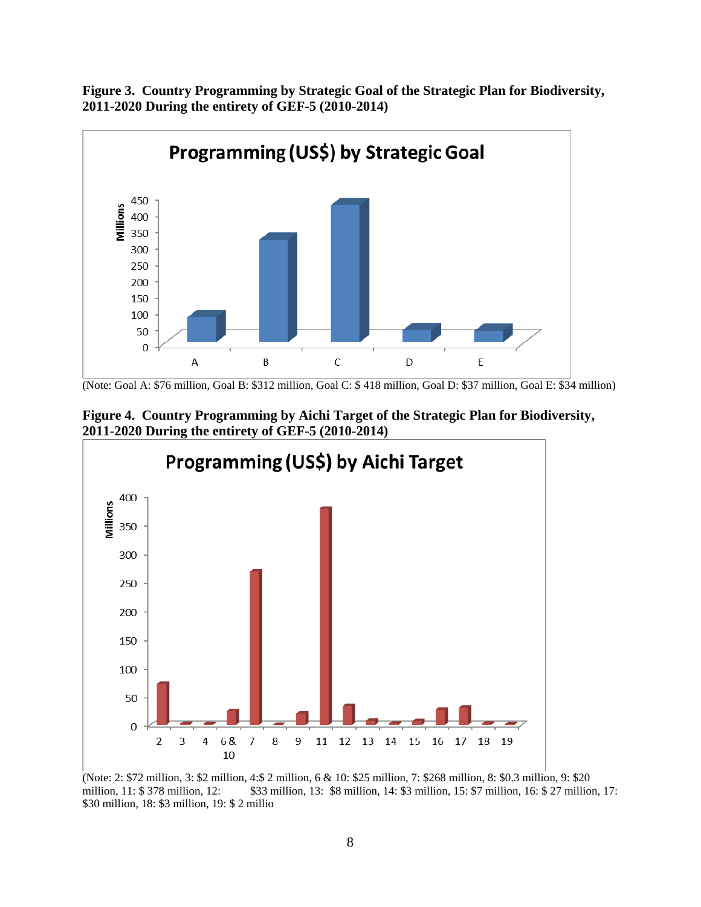**Figure 3. Country Programming by Strategic Goal of the Strategic Plan for Biodiversity, 2011-2020 During the entirety of GEF-5 (2010-2014)** 



<sup>(</sup>Note: Goal A: \$76 million, Goal B: \$312 million, Goal C: \$ 418 million, Goal D: \$37 million, Goal E: \$34 million)





(Note: 2: \$72 million, 3: \$2 million, 4:\$ 2 million, 6 & 10: \$25 million, 7: \$268 million, 8: \$0.3 million, 9: \$20 million, 11: \$ 378 million, 12: \$33 million, 13: \$8 million, 14: \$3 million, 15: \$7 million, 16: \$ 27 million, 17: \$30 million, 18: \$3 million, 19: \$ 2 millio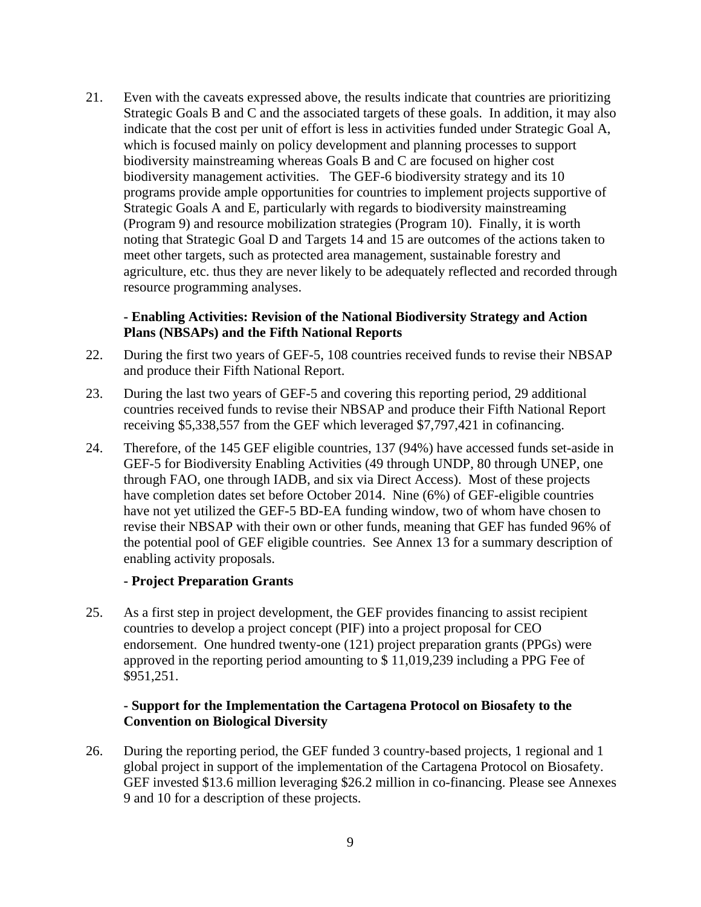21. Even with the caveats expressed above, the results indicate that countries are prioritizing Strategic Goals B and C and the associated targets of these goals. In addition, it may also indicate that the cost per unit of effort is less in activities funded under Strategic Goal A, which is focused mainly on policy development and planning processes to support biodiversity mainstreaming whereas Goals B and C are focused on higher cost biodiversity management activities. The GEF-6 biodiversity strategy and its 10 programs provide ample opportunities for countries to implement projects supportive of Strategic Goals A and E, particularly with regards to biodiversity mainstreaming (Program 9) and resource mobilization strategies (Program 10). Finally, it is worth noting that Strategic Goal D and Targets 14 and 15 are outcomes of the actions taken to meet other targets, such as protected area management, sustainable forestry and agriculture, etc. thus they are never likely to be adequately reflected and recorded through resource programming analyses.

#### **- Enabling Activities: Revision of the National Biodiversity Strategy and Action Plans (NBSAPs) and the Fifth National Reports**

- 22. During the first two years of GEF-5, 108 countries received funds to revise their NBSAP and produce their Fifth National Report.
- 23. During the last two years of GEF-5 and covering this reporting period, 29 additional countries received funds to revise their NBSAP and produce their Fifth National Report receiving \$5,338,557 from the GEF which leveraged \$7,797,421 in cofinancing.
- 24. Therefore, of the 145 GEF eligible countries, 137 (94%) have accessed funds set-aside in GEF-5 for Biodiversity Enabling Activities (49 through UNDP, 80 through UNEP, one through FAO, one through IADB, and six via Direct Access). Most of these projects have completion dates set before October 2014. Nine (6%) of GEF-eligible countries have not yet utilized the GEF-5 BD-EA funding window, two of whom have chosen to revise their NBSAP with their own or other funds, meaning that GEF has funded 96% of the potential pool of GEF eligible countries. See Annex 13 for a summary description of enabling activity proposals.

#### **- Project Preparation Grants**

25. As a first step in project development, the GEF provides financing to assist recipient countries to develop a project concept (PIF) into a project proposal for CEO endorsement. One hundred twenty-one (121) project preparation grants (PPGs) were approved in the reporting period amounting to \$ 11,019,239 including a PPG Fee of \$951,251.

#### **- Support for the Implementation the Cartagena Protocol on Biosafety to the Convention on Biological Diversity**

26. During the reporting period, the GEF funded 3 country-based projects, 1 regional and 1 global project in support of the implementation of the Cartagena Protocol on Biosafety. GEF invested \$13.6 million leveraging \$26.2 million in co-financing. Please see Annexes 9 and 10 for a description of these projects.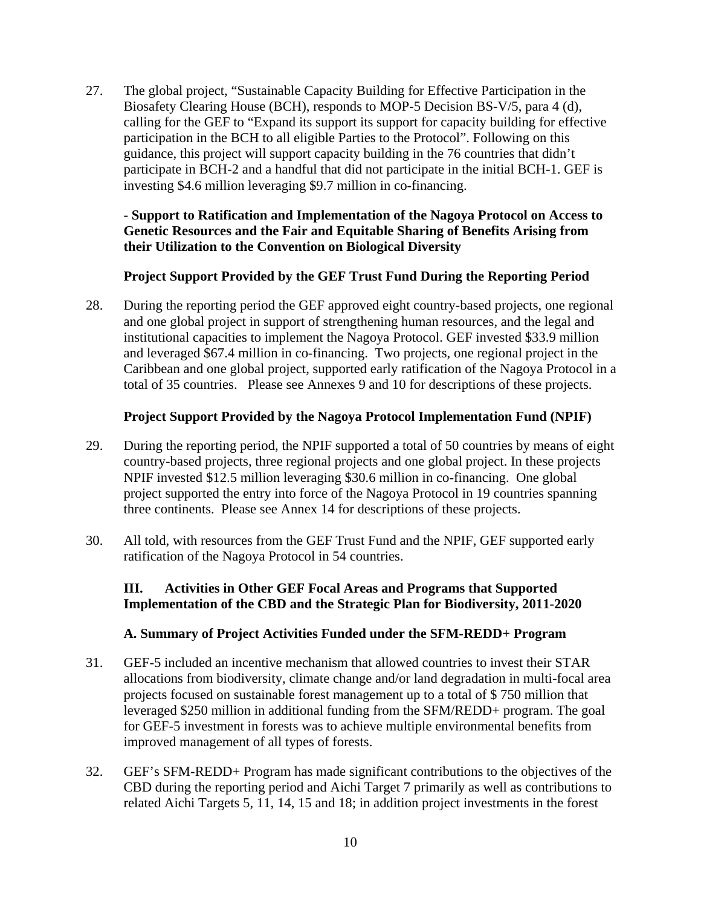27. The global project, "Sustainable Capacity Building for Effective Participation in the Biosafety Clearing House (BCH), responds to MOP-5 Decision BS-V/5, para 4 (d), calling for the GEF to "Expand its support its support for capacity building for effective participation in the BCH to all eligible Parties to the Protocol". Following on this guidance, this project will support capacity building in the 76 countries that didn't participate in BCH-2 and a handful that did not participate in the initial BCH-1. GEF is investing \$4.6 million leveraging \$9.7 million in co-financing.

#### **- Support to Ratification and Implementation of the Nagoya Protocol on Access to Genetic Resources and the Fair and Equitable Sharing of Benefits Arising from their Utilization to the Convention on Biological Diversity**

### **Project Support Provided by the GEF Trust Fund During the Reporting Period**

28. During the reporting period the GEF approved eight country-based projects, one regional and one global project in support of strengthening human resources, and the legal and institutional capacities to implement the Nagoya Protocol. GEF invested \$33.9 million and leveraged \$67.4 million in co-financing. Two projects, one regional project in the Caribbean and one global project, supported early ratification of the Nagoya Protocol in a total of 35 countries. Please see Annexes 9 and 10 for descriptions of these projects.

### **Project Support Provided by the Nagoya Protocol Implementation Fund (NPIF)**

- 29. During the reporting period, the NPIF supported a total of 50 countries by means of eight country-based projects, three regional projects and one global project. In these projects NPIF invested \$12.5 million leveraging \$30.6 million in co-financing. One global project supported the entry into force of the Nagoya Protocol in 19 countries spanning three continents. Please see Annex 14 for descriptions of these projects.
- 30. All told, with resources from the GEF Trust Fund and the NPIF, GEF supported early ratification of the Nagoya Protocol in 54 countries.

### **III. Activities in Other GEF Focal Areas and Programs that Supported Implementation of the CBD and the Strategic Plan for Biodiversity, 2011-2020**

### **A. Summary of Project Activities Funded under the SFM-REDD+ Program**

- 31. GEF-5 included an incentive mechanism that allowed countries to invest their STAR allocations from biodiversity, climate change and/or land degradation in multi-focal area projects focused on sustainable forest management up to a total of \$ 750 million that leveraged \$250 million in additional funding from the SFM/REDD+ program. The goal for GEF-5 investment in forests was to achieve multiple environmental benefits from improved management of all types of forests.
- 32. GEF's SFM-REDD+ Program has made significant contributions to the objectives of the CBD during the reporting period and Aichi Target 7 primarily as well as contributions to related Aichi Targets 5, 11, 14, 15 and 18; in addition project investments in the forest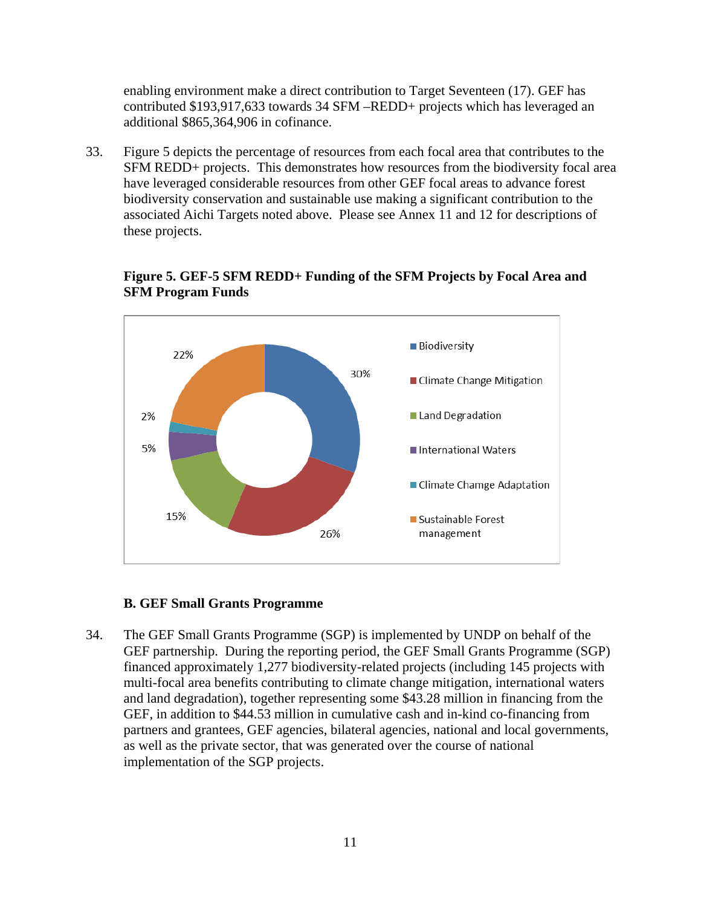enabling environment make a direct contribution to Target Seventeen (17). GEF has contributed \$193,917,633 towards 34 SFM –REDD+ projects which has leveraged an additional \$865,364,906 in cofinance.

33. Figure 5 depicts the percentage of resources from each focal area that contributes to the SFM REDD+ projects. This demonstrates how resources from the biodiversity focal area have leveraged considerable resources from other GEF focal areas to advance forest biodiversity conservation and sustainable use making a significant contribution to the associated Aichi Targets noted above. Please see Annex 11 and 12 for descriptions of these projects.





#### **B. GEF Small Grants Programme**

34. The GEF Small Grants Programme (SGP) is implemented by UNDP on behalf of the GEF partnership. During the reporting period, the GEF Small Grants Programme (SGP) financed approximately 1,277 biodiversity-related projects (including 145 projects with multi-focal area benefits contributing to climate change mitigation, international waters and land degradation), together representing some \$43.28 million in financing from the GEF, in addition to \$44.53 million in cumulative cash and in-kind co-financing from partners and grantees, GEF agencies, bilateral agencies, national and local governments, as well as the private sector, that was generated over the course of national implementation of the SGP projects.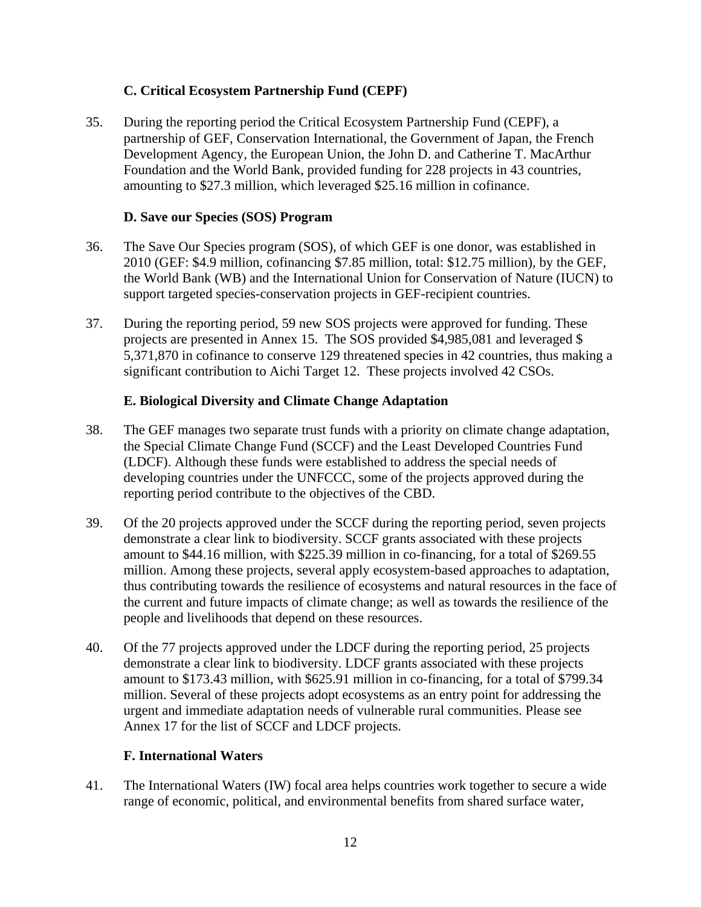# **C. Critical Ecosystem Partnership Fund (CEPF)**

35. During the reporting period the Critical Ecosystem Partnership Fund (CEPF), a partnership of GEF, Conservation International, the Government of Japan, the French Development Agency, the European Union, the John D. and Catherine T. MacArthur Foundation and the World Bank, provided funding for 228 projects in 43 countries, amounting to \$27.3 million, which leveraged \$25.16 million in cofinance.

### **D. Save our Species (SOS) Program**

- 36. The Save Our Species program (SOS), of which GEF is one donor, was established in 2010 (GEF: \$4.9 million, cofinancing \$7.85 million, total: \$12.75 million), by the GEF, the World Bank (WB) and the International Union for Conservation of Nature (IUCN) to support targeted species-conservation projects in GEF-recipient countries.
- 37. During the reporting period, 59 new SOS projects were approved for funding. These projects are presented in Annex 15. The SOS provided \$4,985,081 and leveraged \$ 5,371,870 in cofinance to conserve 129 threatened species in 42 countries, thus making a significant contribution to Aichi Target 12. These projects involved 42 CSOs.

#### **E. Biological Diversity and Climate Change Adaptation**

- 38. The GEF manages two separate trust funds with a priority on climate change adaptation, the Special Climate Change Fund (SCCF) and the Least Developed Countries Fund (LDCF). Although these funds were established to address the special needs of developing countries under the UNFCCC, some of the projects approved during the reporting period contribute to the objectives of the CBD.
- 39. Of the 20 projects approved under the SCCF during the reporting period, seven projects demonstrate a clear link to biodiversity. SCCF grants associated with these projects amount to \$44.16 million, with \$225.39 million in co-financing, for a total of \$269.55 million. Among these projects, several apply ecosystem-based approaches to adaptation, thus contributing towards the resilience of ecosystems and natural resources in the face of the current and future impacts of climate change; as well as towards the resilience of the people and livelihoods that depend on these resources.
- 40. Of the 77 projects approved under the LDCF during the reporting period, 25 projects demonstrate a clear link to biodiversity. LDCF grants associated with these projects amount to \$173.43 million, with \$625.91 million in co-financing, for a total of \$799.34 million. Several of these projects adopt ecosystems as an entry point for addressing the urgent and immediate adaptation needs of vulnerable rural communities. Please see Annex 17 for the list of SCCF and LDCF projects.

### **F. International Waters**

41. The International Waters (IW) focal area helps countries work together to secure a wide range of economic, political, and environmental benefits from shared surface water,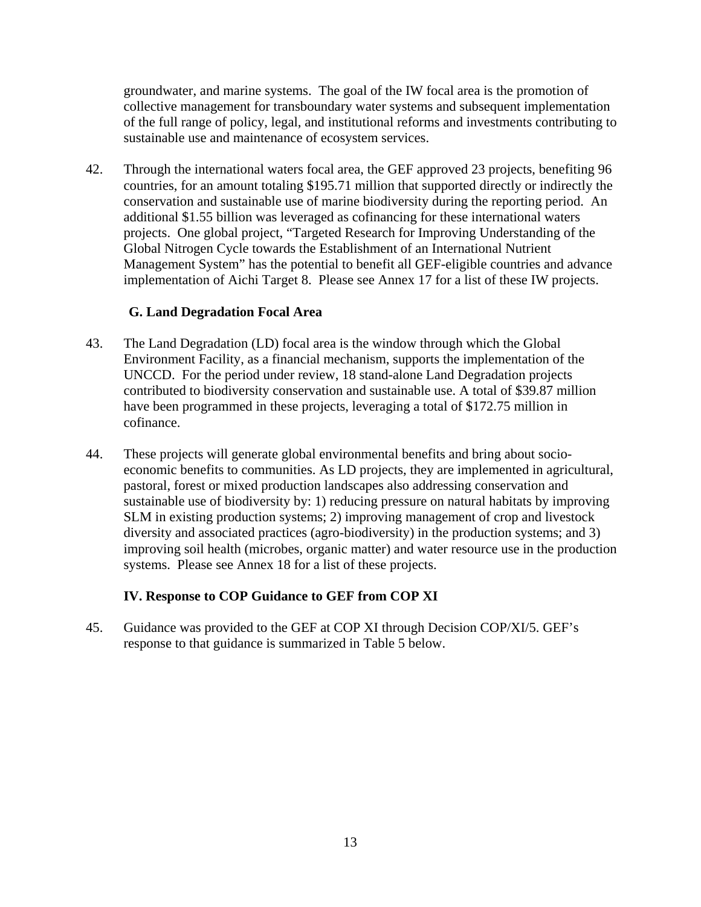groundwater, and marine systems. The goal of the IW focal area is the promotion of collective management for transboundary water systems and subsequent implementation of the full range of policy, legal, and institutional reforms and investments contributing to sustainable use and maintenance of ecosystem services.

42. Through the international waters focal area, the GEF approved 23 projects, benefiting 96 countries, for an amount totaling \$195.71 million that supported directly or indirectly the conservation and sustainable use of marine biodiversity during the reporting period. An additional \$1.55 billion was leveraged as cofinancing for these international waters projects. One global project, "Targeted Research for Improving Understanding of the Global Nitrogen Cycle towards the Establishment of an International Nutrient Management System" has the potential to benefit all GEF-eligible countries and advance implementation of Aichi Target 8. Please see Annex 17 for a list of these IW projects.

#### **G. Land Degradation Focal Area**

- 43. The Land Degradation (LD) focal area is the window through which the Global Environment Facility, as a financial mechanism, supports the implementation of the UNCCD. For the period under review, 18 stand-alone Land Degradation projects contributed to biodiversity conservation and sustainable use. A total of \$39.87 million have been programmed in these projects, leveraging a total of \$172.75 million in cofinance.
- 44. These projects will generate global environmental benefits and bring about socioeconomic benefits to communities. As LD projects, they are implemented in agricultural, pastoral, forest or mixed production landscapes also addressing conservation and sustainable use of biodiversity by: 1) reducing pressure on natural habitats by improving SLM in existing production systems; 2) improving management of crop and livestock diversity and associated practices (agro-biodiversity) in the production systems; and 3) improving soil health (microbes, organic matter) and water resource use in the production systems. Please see Annex 18 for a list of these projects.

### **IV. Response to COP Guidance to GEF from COP XI**

45. Guidance was provided to the GEF at COP XI through Decision COP/XI/5. GEF's response to that guidance is summarized in Table 5 below.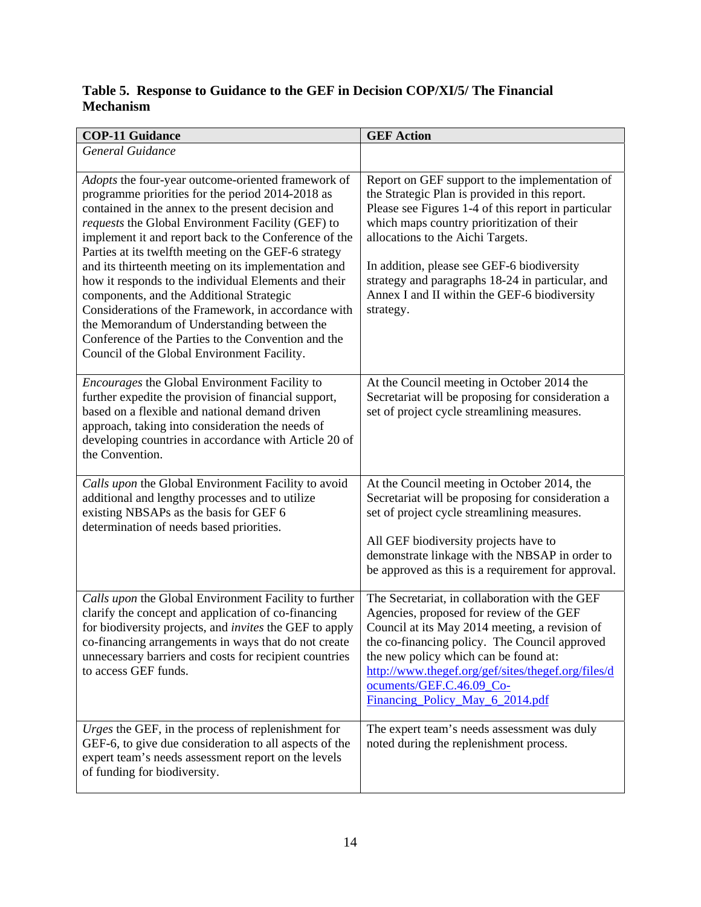# **Table 5. Response to Guidance to the GEF in Decision COP/XI/5/ The Financial Mechanism**

| <b>COP-11 Guidance</b>                                                                                                                                                                                                                                                                                                                                                                                                                                                                                                                                                                                                                                                                                     | <b>GEF Action</b>                                                                                                                                                                                                                                                                                                                                                                                         |
|------------------------------------------------------------------------------------------------------------------------------------------------------------------------------------------------------------------------------------------------------------------------------------------------------------------------------------------------------------------------------------------------------------------------------------------------------------------------------------------------------------------------------------------------------------------------------------------------------------------------------------------------------------------------------------------------------------|-----------------------------------------------------------------------------------------------------------------------------------------------------------------------------------------------------------------------------------------------------------------------------------------------------------------------------------------------------------------------------------------------------------|
| General Guidance                                                                                                                                                                                                                                                                                                                                                                                                                                                                                                                                                                                                                                                                                           |                                                                                                                                                                                                                                                                                                                                                                                                           |
| Adopts the four-year outcome-oriented framework of<br>programme priorities for the period 2014-2018 as<br>contained in the annex to the present decision and<br>requests the Global Environment Facility (GEF) to<br>implement it and report back to the Conference of the<br>Parties at its twelfth meeting on the GEF-6 strategy<br>and its thirteenth meeting on its implementation and<br>how it responds to the individual Elements and their<br>components, and the Additional Strategic<br>Considerations of the Framework, in accordance with<br>the Memorandum of Understanding between the<br>Conference of the Parties to the Convention and the<br>Council of the Global Environment Facility. | Report on GEF support to the implementation of<br>the Strategic Plan is provided in this report.<br>Please see Figures 1-4 of this report in particular<br>which maps country prioritization of their<br>allocations to the Aichi Targets.<br>In addition, please see GEF-6 biodiversity<br>strategy and paragraphs 18-24 in particular, and<br>Annex I and II within the GEF-6 biodiversity<br>strategy. |
| Encourages the Global Environment Facility to<br>further expedite the provision of financial support,<br>based on a flexible and national demand driven<br>approach, taking into consideration the needs of<br>developing countries in accordance with Article 20 of<br>the Convention.                                                                                                                                                                                                                                                                                                                                                                                                                    | At the Council meeting in October 2014 the<br>Secretariat will be proposing for consideration a<br>set of project cycle streamlining measures.                                                                                                                                                                                                                                                            |
| Calls upon the Global Environment Facility to avoid<br>additional and lengthy processes and to utilize<br>existing NBSAPs as the basis for GEF 6<br>determination of needs based priorities.                                                                                                                                                                                                                                                                                                                                                                                                                                                                                                               | At the Council meeting in October 2014, the<br>Secretariat will be proposing for consideration a<br>set of project cycle streamlining measures.<br>All GEF biodiversity projects have to<br>demonstrate linkage with the NBSAP in order to<br>be approved as this is a requirement for approval.                                                                                                          |
| Calls upon the Global Environment Facility to further<br>clarify the concept and application of co-financing<br>for biodiversity projects, and <i>invites</i> the GEF to apply<br>co-financing arrangements in ways that do not create<br>unnecessary barriers and costs for recipient countries<br>to access GEF funds.                                                                                                                                                                                                                                                                                                                                                                                   | The Secretariat, in collaboration with the GEF<br>Agencies, proposed for review of the GEF<br>Council at its May 2014 meeting, a revision of<br>the co-financing policy. The Council approved<br>the new policy which can be found at:<br>http://www.thegef.org/gef/sites/thegef.org/files/d<br>ocuments/GEF.C.46.09_Co-<br>Financing Policy May 6 2014.pdf                                               |
| Urges the GEF, in the process of replenishment for<br>GEF-6, to give due consideration to all aspects of the<br>expert team's needs assessment report on the levels<br>of funding for biodiversity.                                                                                                                                                                                                                                                                                                                                                                                                                                                                                                        | The expert team's needs assessment was duly<br>noted during the replenishment process.                                                                                                                                                                                                                                                                                                                    |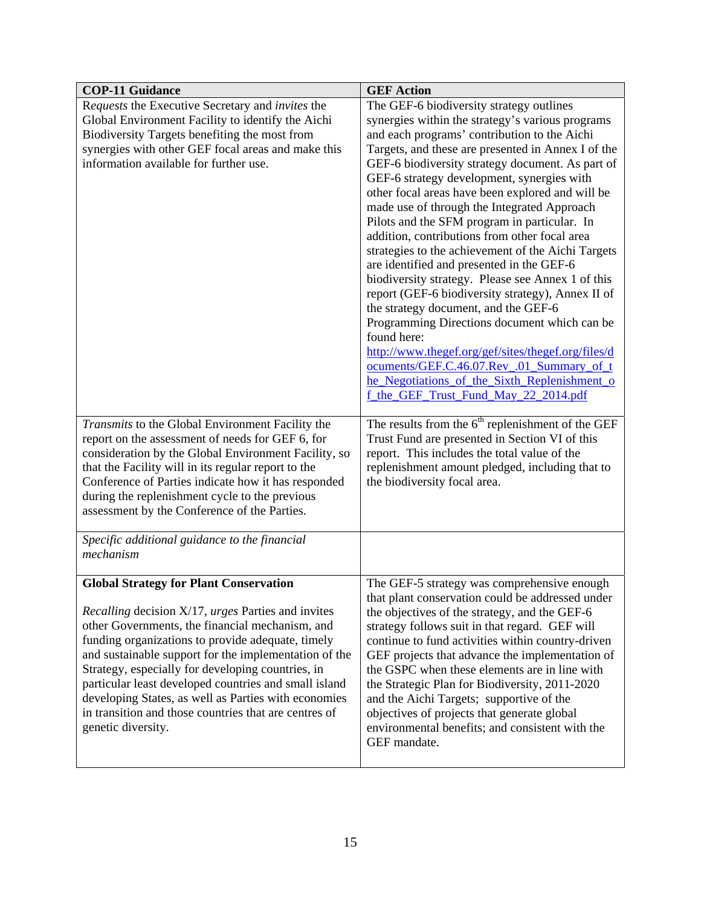| <b>COP-11 Guidance</b>                                                                                                                                                                                                                                                                                                                                                                                                                                                                                                                  | <b>GEF Action</b>                                                                                                                                                                                                                                                                                                                                                                                                                                                                                                                                                                                                                                                                                                                                                                                                                                                                                                                                                                                                                                                              |
|-----------------------------------------------------------------------------------------------------------------------------------------------------------------------------------------------------------------------------------------------------------------------------------------------------------------------------------------------------------------------------------------------------------------------------------------------------------------------------------------------------------------------------------------|--------------------------------------------------------------------------------------------------------------------------------------------------------------------------------------------------------------------------------------------------------------------------------------------------------------------------------------------------------------------------------------------------------------------------------------------------------------------------------------------------------------------------------------------------------------------------------------------------------------------------------------------------------------------------------------------------------------------------------------------------------------------------------------------------------------------------------------------------------------------------------------------------------------------------------------------------------------------------------------------------------------------------------------------------------------------------------|
| Requests the Executive Secretary and invites the<br>Global Environment Facility to identify the Aichi<br>Biodiversity Targets benefiting the most from<br>synergies with other GEF focal areas and make this<br>information available for further use.<br>Transmits to the Global Environment Facility the                                                                                                                                                                                                                              | The GEF-6 biodiversity strategy outlines<br>synergies within the strategy's various programs<br>and each programs' contribution to the Aichi<br>Targets, and these are presented in Annex I of the<br>GEF-6 biodiversity strategy document. As part of<br>GEF-6 strategy development, synergies with<br>other focal areas have been explored and will be<br>made use of through the Integrated Approach<br>Pilots and the SFM program in particular. In<br>addition, contributions from other focal area<br>strategies to the achievement of the Aichi Targets<br>are identified and presented in the GEF-6<br>biodiversity strategy. Please see Annex 1 of this<br>report (GEF-6 biodiversity strategy), Annex II of<br>the strategy document, and the GEF-6<br>Programming Directions document which can be<br>found here:<br>http://www.thegef.org/gef/sites/thegef.org/files/d<br>ocuments/GEF.C.46.07.Rev .01 Summary of t<br>he_Negotiations_of_the_Sixth_Replenishment_o<br>f the GEF Trust Fund May 22 2014.pdf<br>The results from the $6th$ replenishment of the GEF |
| report on the assessment of needs for GEF 6, for<br>consideration by the Global Environment Facility, so<br>that the Facility will in its regular report to the<br>Conference of Parties indicate how it has responded<br>during the replenishment cycle to the previous<br>assessment by the Conference of the Parties.                                                                                                                                                                                                                | Trust Fund are presented in Section VI of this<br>report. This includes the total value of the<br>replenishment amount pledged, including that to<br>the biodiversity focal area.                                                                                                                                                                                                                                                                                                                                                                                                                                                                                                                                                                                                                                                                                                                                                                                                                                                                                              |
| Specific additional guidance to the financial<br>mechanism                                                                                                                                                                                                                                                                                                                                                                                                                                                                              |                                                                                                                                                                                                                                                                                                                                                                                                                                                                                                                                                                                                                                                                                                                                                                                                                                                                                                                                                                                                                                                                                |
| <b>Global Strategy for Plant Conservation</b><br><i>Recalling</i> decision X/17, <i>urges</i> Parties and invites<br>other Governments, the financial mechanism, and<br>funding organizations to provide adequate, timely<br>and sustainable support for the implementation of the<br>Strategy, especially for developing countries, in<br>particular least developed countries and small island<br>developing States, as well as Parties with economies<br>in transition and those countries that are centres of<br>genetic diversity. | The GEF-5 strategy was comprehensive enough<br>that plant conservation could be addressed under<br>the objectives of the strategy, and the GEF-6<br>strategy follows suit in that regard. GEF will<br>continue to fund activities within country-driven<br>GEF projects that advance the implementation of<br>the GSPC when these elements are in line with<br>the Strategic Plan for Biodiversity, 2011-2020<br>and the Aichi Targets; supportive of the<br>objectives of projects that generate global<br>environmental benefits; and consistent with the<br>GEF mandate.                                                                                                                                                                                                                                                                                                                                                                                                                                                                                                    |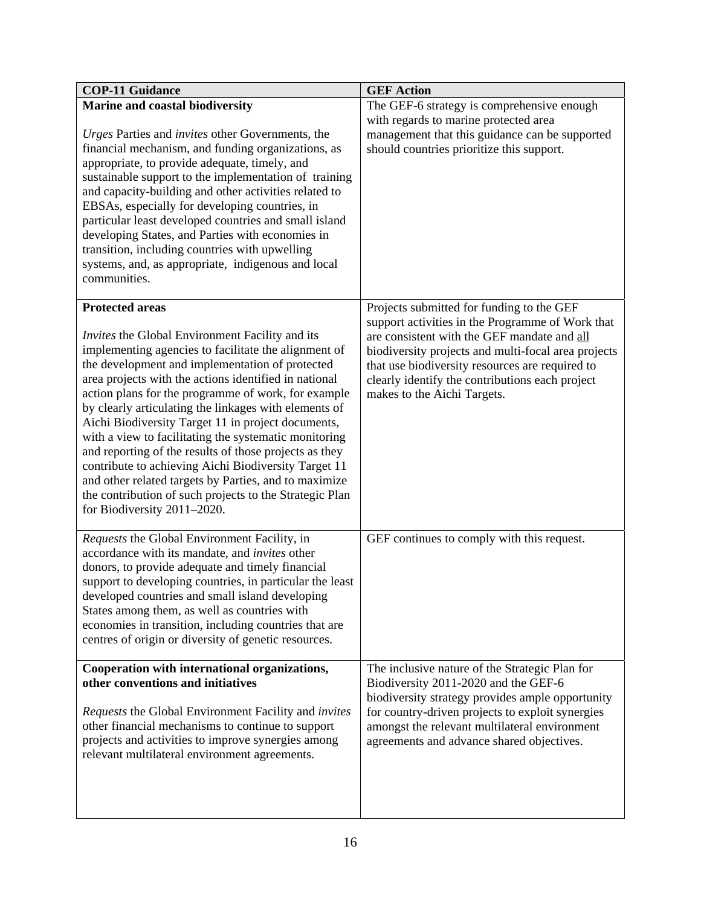| <b>COP-11 Guidance</b>                                                                                                                                                                                                                                                                                                                                                                                                                                                                                                                                                                                                                                                                                                                                   | <b>GEF Action</b>                                                                                                                                                                                                                                                                                                                        |
|----------------------------------------------------------------------------------------------------------------------------------------------------------------------------------------------------------------------------------------------------------------------------------------------------------------------------------------------------------------------------------------------------------------------------------------------------------------------------------------------------------------------------------------------------------------------------------------------------------------------------------------------------------------------------------------------------------------------------------------------------------|------------------------------------------------------------------------------------------------------------------------------------------------------------------------------------------------------------------------------------------------------------------------------------------------------------------------------------------|
| <b>Marine and coastal biodiversity</b><br>Urges Parties and invites other Governments, the<br>financial mechanism, and funding organizations, as<br>appropriate, to provide adequate, timely, and<br>sustainable support to the implementation of training<br>and capacity-building and other activities related to<br>EBSAs, especially for developing countries, in<br>particular least developed countries and small island<br>developing States, and Parties with economies in<br>transition, including countries with upwelling<br>systems, and, as appropriate, indigenous and local<br>communities.                                                                                                                                               | The GEF-6 strategy is comprehensive enough<br>with regards to marine protected area<br>management that this guidance can be supported<br>should countries prioritize this support.                                                                                                                                                       |
| <b>Protected areas</b><br><i>Invites</i> the Global Environment Facility and its<br>implementing agencies to facilitate the alignment of<br>the development and implementation of protected<br>area projects with the actions identified in national<br>action plans for the programme of work, for example<br>by clearly articulating the linkages with elements of<br>Aichi Biodiversity Target 11 in project documents,<br>with a view to facilitating the systematic monitoring<br>and reporting of the results of those projects as they<br>contribute to achieving Aichi Biodiversity Target 11<br>and other related targets by Parties, and to maximize<br>the contribution of such projects to the Strategic Plan<br>for Biodiversity 2011-2020. | Projects submitted for funding to the GEF<br>support activities in the Programme of Work that<br>are consistent with the GEF mandate and all<br>biodiversity projects and multi-focal area projects<br>that use biodiversity resources are required to<br>clearly identify the contributions each project<br>makes to the Aichi Targets. |
| Requests the Global Environment Facility, in<br>accordance with its mandate, and invites other<br>donors, to provide adequate and timely financial<br>support to developing countries, in particular the least<br>developed countries and small island developing<br>States among them, as well as countries with<br>economies in transition, including countries that are<br>centres of origin or diversity of genetic resources.                                                                                                                                                                                                                                                                                                                       | GEF continues to comply with this request.                                                                                                                                                                                                                                                                                               |
| Cooperation with international organizations,<br>other conventions and initiatives<br>Requests the Global Environment Facility and <i>invites</i><br>other financial mechanisms to continue to support<br>projects and activities to improve synergies among<br>relevant multilateral environment agreements.                                                                                                                                                                                                                                                                                                                                                                                                                                            | The inclusive nature of the Strategic Plan for<br>Biodiversity 2011-2020 and the GEF-6<br>biodiversity strategy provides ample opportunity<br>for country-driven projects to exploit synergies<br>amongst the relevant multilateral environment<br>agreements and advance shared objectives.                                             |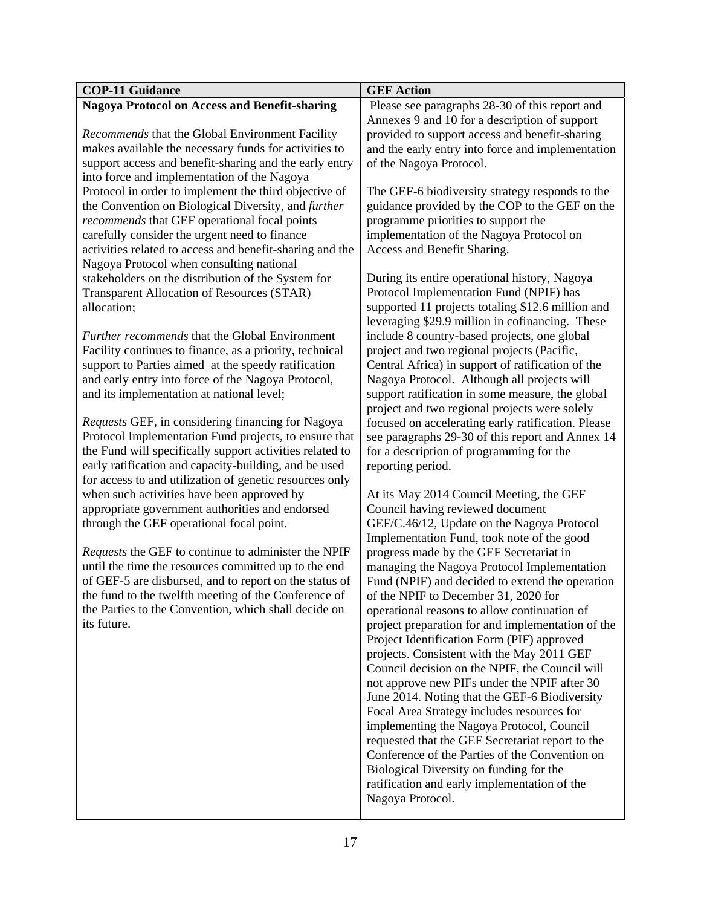| <b>Nagoya Protocol on Access and Benefit-sharing</b><br>Please see paragraphs 28-30 of this report and<br>Annexes 9 and 10 for a description of support<br>Recommends that the Global Environment Facility<br>provided to support access and benefit-sharing<br>makes available the necessary funds for activities to<br>and the early entry into force and implementation<br>support access and benefit-sharing and the early entry<br>of the Nagoya Protocol.<br>into force and implementation of the Nagoya<br>Protocol in order to implement the third objective of<br>The GEF-6 biodiversity strategy responds to the<br>the Convention on Biological Diversity, and further<br>guidance provided by the COP to the GEF on the<br>recommends that GEF operational focal points<br>programme priorities to support the<br>implementation of the Nagoya Protocol on<br>carefully consider the urgent need to finance<br>activities related to access and benefit-sharing and the<br>Access and Benefit Sharing.<br>Nagoya Protocol when consulting national<br>stakeholders on the distribution of the System for<br>During its entire operational history, Nagoya<br>Protocol Implementation Fund (NPIF) has<br><b>Transparent Allocation of Resources (STAR)</b><br>supported 11 projects totaling \$12.6 million and<br>allocation;<br>leveraging \$29.9 million in cofinancing. These<br>Further recommends that the Global Environment<br>include 8 country-based projects, one global<br>Facility continues to finance, as a priority, technical<br>project and two regional projects (Pacific, | <b>COP-11 Guidance</b>                              | <b>GEF Action</b>                                 |
|----------------------------------------------------------------------------------------------------------------------------------------------------------------------------------------------------------------------------------------------------------------------------------------------------------------------------------------------------------------------------------------------------------------------------------------------------------------------------------------------------------------------------------------------------------------------------------------------------------------------------------------------------------------------------------------------------------------------------------------------------------------------------------------------------------------------------------------------------------------------------------------------------------------------------------------------------------------------------------------------------------------------------------------------------------------------------------------------------------------------------------------------------------------------------------------------------------------------------------------------------------------------------------------------------------------------------------------------------------------------------------------------------------------------------------------------------------------------------------------------------------------------------------------------------------------------------------------------------------|-----------------------------------------------------|---------------------------------------------------|
|                                                                                                                                                                                                                                                                                                                                                                                                                                                                                                                                                                                                                                                                                                                                                                                                                                                                                                                                                                                                                                                                                                                                                                                                                                                                                                                                                                                                                                                                                                                                                                                                          |                                                     |                                                   |
|                                                                                                                                                                                                                                                                                                                                                                                                                                                                                                                                                                                                                                                                                                                                                                                                                                                                                                                                                                                                                                                                                                                                                                                                                                                                                                                                                                                                                                                                                                                                                                                                          |                                                     |                                                   |
|                                                                                                                                                                                                                                                                                                                                                                                                                                                                                                                                                                                                                                                                                                                                                                                                                                                                                                                                                                                                                                                                                                                                                                                                                                                                                                                                                                                                                                                                                                                                                                                                          |                                                     |                                                   |
|                                                                                                                                                                                                                                                                                                                                                                                                                                                                                                                                                                                                                                                                                                                                                                                                                                                                                                                                                                                                                                                                                                                                                                                                                                                                                                                                                                                                                                                                                                                                                                                                          |                                                     |                                                   |
|                                                                                                                                                                                                                                                                                                                                                                                                                                                                                                                                                                                                                                                                                                                                                                                                                                                                                                                                                                                                                                                                                                                                                                                                                                                                                                                                                                                                                                                                                                                                                                                                          |                                                     |                                                   |
|                                                                                                                                                                                                                                                                                                                                                                                                                                                                                                                                                                                                                                                                                                                                                                                                                                                                                                                                                                                                                                                                                                                                                                                                                                                                                                                                                                                                                                                                                                                                                                                                          |                                                     |                                                   |
|                                                                                                                                                                                                                                                                                                                                                                                                                                                                                                                                                                                                                                                                                                                                                                                                                                                                                                                                                                                                                                                                                                                                                                                                                                                                                                                                                                                                                                                                                                                                                                                                          |                                                     |                                                   |
|                                                                                                                                                                                                                                                                                                                                                                                                                                                                                                                                                                                                                                                                                                                                                                                                                                                                                                                                                                                                                                                                                                                                                                                                                                                                                                                                                                                                                                                                                                                                                                                                          |                                                     |                                                   |
|                                                                                                                                                                                                                                                                                                                                                                                                                                                                                                                                                                                                                                                                                                                                                                                                                                                                                                                                                                                                                                                                                                                                                                                                                                                                                                                                                                                                                                                                                                                                                                                                          |                                                     |                                                   |
|                                                                                                                                                                                                                                                                                                                                                                                                                                                                                                                                                                                                                                                                                                                                                                                                                                                                                                                                                                                                                                                                                                                                                                                                                                                                                                                                                                                                                                                                                                                                                                                                          |                                                     |                                                   |
|                                                                                                                                                                                                                                                                                                                                                                                                                                                                                                                                                                                                                                                                                                                                                                                                                                                                                                                                                                                                                                                                                                                                                                                                                                                                                                                                                                                                                                                                                                                                                                                                          |                                                     |                                                   |
|                                                                                                                                                                                                                                                                                                                                                                                                                                                                                                                                                                                                                                                                                                                                                                                                                                                                                                                                                                                                                                                                                                                                                                                                                                                                                                                                                                                                                                                                                                                                                                                                          |                                                     |                                                   |
|                                                                                                                                                                                                                                                                                                                                                                                                                                                                                                                                                                                                                                                                                                                                                                                                                                                                                                                                                                                                                                                                                                                                                                                                                                                                                                                                                                                                                                                                                                                                                                                                          |                                                     |                                                   |
|                                                                                                                                                                                                                                                                                                                                                                                                                                                                                                                                                                                                                                                                                                                                                                                                                                                                                                                                                                                                                                                                                                                                                                                                                                                                                                                                                                                                                                                                                                                                                                                                          |                                                     |                                                   |
|                                                                                                                                                                                                                                                                                                                                                                                                                                                                                                                                                                                                                                                                                                                                                                                                                                                                                                                                                                                                                                                                                                                                                                                                                                                                                                                                                                                                                                                                                                                                                                                                          |                                                     |                                                   |
|                                                                                                                                                                                                                                                                                                                                                                                                                                                                                                                                                                                                                                                                                                                                                                                                                                                                                                                                                                                                                                                                                                                                                                                                                                                                                                                                                                                                                                                                                                                                                                                                          |                                                     |                                                   |
|                                                                                                                                                                                                                                                                                                                                                                                                                                                                                                                                                                                                                                                                                                                                                                                                                                                                                                                                                                                                                                                                                                                                                                                                                                                                                                                                                                                                                                                                                                                                                                                                          |                                                     |                                                   |
|                                                                                                                                                                                                                                                                                                                                                                                                                                                                                                                                                                                                                                                                                                                                                                                                                                                                                                                                                                                                                                                                                                                                                                                                                                                                                                                                                                                                                                                                                                                                                                                                          |                                                     |                                                   |
|                                                                                                                                                                                                                                                                                                                                                                                                                                                                                                                                                                                                                                                                                                                                                                                                                                                                                                                                                                                                                                                                                                                                                                                                                                                                                                                                                                                                                                                                                                                                                                                                          | support to Parties aimed at the speedy ratification | Central Africa) in support of ratification of the |
| and early entry into force of the Nagoya Protocol,<br>Nagoya Protocol. Although all projects will                                                                                                                                                                                                                                                                                                                                                                                                                                                                                                                                                                                                                                                                                                                                                                                                                                                                                                                                                                                                                                                                                                                                                                                                                                                                                                                                                                                                                                                                                                        |                                                     |                                                   |
| and its implementation at national level;<br>support ratification in some measure, the global                                                                                                                                                                                                                                                                                                                                                                                                                                                                                                                                                                                                                                                                                                                                                                                                                                                                                                                                                                                                                                                                                                                                                                                                                                                                                                                                                                                                                                                                                                            |                                                     |                                                   |
| project and two regional projects were solely                                                                                                                                                                                                                                                                                                                                                                                                                                                                                                                                                                                                                                                                                                                                                                                                                                                                                                                                                                                                                                                                                                                                                                                                                                                                                                                                                                                                                                                                                                                                                            |                                                     |                                                   |
| Requests GEF, in considering financing for Nagoya<br>focused on accelerating early ratification. Please                                                                                                                                                                                                                                                                                                                                                                                                                                                                                                                                                                                                                                                                                                                                                                                                                                                                                                                                                                                                                                                                                                                                                                                                                                                                                                                                                                                                                                                                                                  |                                                     |                                                   |
| Protocol Implementation Fund projects, to ensure that<br>see paragraphs 29-30 of this report and Annex 14                                                                                                                                                                                                                                                                                                                                                                                                                                                                                                                                                                                                                                                                                                                                                                                                                                                                                                                                                                                                                                                                                                                                                                                                                                                                                                                                                                                                                                                                                                |                                                     |                                                   |
| the Fund will specifically support activities related to<br>for a description of programming for the                                                                                                                                                                                                                                                                                                                                                                                                                                                                                                                                                                                                                                                                                                                                                                                                                                                                                                                                                                                                                                                                                                                                                                                                                                                                                                                                                                                                                                                                                                     |                                                     |                                                   |
| early ratification and capacity-building, and be used<br>reporting period.                                                                                                                                                                                                                                                                                                                                                                                                                                                                                                                                                                                                                                                                                                                                                                                                                                                                                                                                                                                                                                                                                                                                                                                                                                                                                                                                                                                                                                                                                                                               |                                                     |                                                   |
| for access to and utilization of genetic resources only                                                                                                                                                                                                                                                                                                                                                                                                                                                                                                                                                                                                                                                                                                                                                                                                                                                                                                                                                                                                                                                                                                                                                                                                                                                                                                                                                                                                                                                                                                                                                  |                                                     |                                                   |
| when such activities have been approved by<br>At its May 2014 Council Meeting, the GEF                                                                                                                                                                                                                                                                                                                                                                                                                                                                                                                                                                                                                                                                                                                                                                                                                                                                                                                                                                                                                                                                                                                                                                                                                                                                                                                                                                                                                                                                                                                   |                                                     |                                                   |
| appropriate government authorities and endorsed<br>Council having reviewed document                                                                                                                                                                                                                                                                                                                                                                                                                                                                                                                                                                                                                                                                                                                                                                                                                                                                                                                                                                                                                                                                                                                                                                                                                                                                                                                                                                                                                                                                                                                      |                                                     |                                                   |
| GEF/C.46/12, Update on the Nagoya Protocol<br>through the GEF operational focal point.                                                                                                                                                                                                                                                                                                                                                                                                                                                                                                                                                                                                                                                                                                                                                                                                                                                                                                                                                                                                                                                                                                                                                                                                                                                                                                                                                                                                                                                                                                                   |                                                     |                                                   |
| Implementation Fund, took note of the good                                                                                                                                                                                                                                                                                                                                                                                                                                                                                                                                                                                                                                                                                                                                                                                                                                                                                                                                                                                                                                                                                                                                                                                                                                                                                                                                                                                                                                                                                                                                                               |                                                     |                                                   |
| Requests the GEF to continue to administer the NPIF<br>progress made by the GEF Secretariat in                                                                                                                                                                                                                                                                                                                                                                                                                                                                                                                                                                                                                                                                                                                                                                                                                                                                                                                                                                                                                                                                                                                                                                                                                                                                                                                                                                                                                                                                                                           |                                                     |                                                   |
| until the time the resources committed up to the end<br>managing the Nagoya Protocol Implementation                                                                                                                                                                                                                                                                                                                                                                                                                                                                                                                                                                                                                                                                                                                                                                                                                                                                                                                                                                                                                                                                                                                                                                                                                                                                                                                                                                                                                                                                                                      |                                                     |                                                   |
| of GEF-5 are disbursed, and to report on the status of<br>Fund (NPIF) and decided to extend the operation                                                                                                                                                                                                                                                                                                                                                                                                                                                                                                                                                                                                                                                                                                                                                                                                                                                                                                                                                                                                                                                                                                                                                                                                                                                                                                                                                                                                                                                                                                |                                                     |                                                   |
| the fund to the twelfth meeting of the Conference of<br>of the NPIF to December 31, 2020 for                                                                                                                                                                                                                                                                                                                                                                                                                                                                                                                                                                                                                                                                                                                                                                                                                                                                                                                                                                                                                                                                                                                                                                                                                                                                                                                                                                                                                                                                                                             |                                                     |                                                   |
| the Parties to the Convention, which shall decide on<br>operational reasons to allow continuation of                                                                                                                                                                                                                                                                                                                                                                                                                                                                                                                                                                                                                                                                                                                                                                                                                                                                                                                                                                                                                                                                                                                                                                                                                                                                                                                                                                                                                                                                                                     |                                                     |                                                   |
| its future.<br>project preparation for and implementation of the                                                                                                                                                                                                                                                                                                                                                                                                                                                                                                                                                                                                                                                                                                                                                                                                                                                                                                                                                                                                                                                                                                                                                                                                                                                                                                                                                                                                                                                                                                                                         |                                                     |                                                   |
| Project Identification Form (PIF) approved                                                                                                                                                                                                                                                                                                                                                                                                                                                                                                                                                                                                                                                                                                                                                                                                                                                                                                                                                                                                                                                                                                                                                                                                                                                                                                                                                                                                                                                                                                                                                               |                                                     |                                                   |
| projects. Consistent with the May 2011 GEF                                                                                                                                                                                                                                                                                                                                                                                                                                                                                                                                                                                                                                                                                                                                                                                                                                                                                                                                                                                                                                                                                                                                                                                                                                                                                                                                                                                                                                                                                                                                                               |                                                     |                                                   |
| Council decision on the NPIF, the Council will                                                                                                                                                                                                                                                                                                                                                                                                                                                                                                                                                                                                                                                                                                                                                                                                                                                                                                                                                                                                                                                                                                                                                                                                                                                                                                                                                                                                                                                                                                                                                           |                                                     |                                                   |
| not approve new PIFs under the NPIF after 30                                                                                                                                                                                                                                                                                                                                                                                                                                                                                                                                                                                                                                                                                                                                                                                                                                                                                                                                                                                                                                                                                                                                                                                                                                                                                                                                                                                                                                                                                                                                                             |                                                     |                                                   |
| June 2014. Noting that the GEF-6 Biodiversity                                                                                                                                                                                                                                                                                                                                                                                                                                                                                                                                                                                                                                                                                                                                                                                                                                                                                                                                                                                                                                                                                                                                                                                                                                                                                                                                                                                                                                                                                                                                                            |                                                     |                                                   |
| Focal Area Strategy includes resources for                                                                                                                                                                                                                                                                                                                                                                                                                                                                                                                                                                                                                                                                                                                                                                                                                                                                                                                                                                                                                                                                                                                                                                                                                                                                                                                                                                                                                                                                                                                                                               |                                                     |                                                   |
| implementing the Nagoya Protocol, Council                                                                                                                                                                                                                                                                                                                                                                                                                                                                                                                                                                                                                                                                                                                                                                                                                                                                                                                                                                                                                                                                                                                                                                                                                                                                                                                                                                                                                                                                                                                                                                |                                                     |                                                   |
| requested that the GEF Secretariat report to the                                                                                                                                                                                                                                                                                                                                                                                                                                                                                                                                                                                                                                                                                                                                                                                                                                                                                                                                                                                                                                                                                                                                                                                                                                                                                                                                                                                                                                                                                                                                                         |                                                     |                                                   |
| Conference of the Parties of the Convention on                                                                                                                                                                                                                                                                                                                                                                                                                                                                                                                                                                                                                                                                                                                                                                                                                                                                                                                                                                                                                                                                                                                                                                                                                                                                                                                                                                                                                                                                                                                                                           |                                                     |                                                   |
| Biological Diversity on funding for the                                                                                                                                                                                                                                                                                                                                                                                                                                                                                                                                                                                                                                                                                                                                                                                                                                                                                                                                                                                                                                                                                                                                                                                                                                                                                                                                                                                                                                                                                                                                                                  |                                                     |                                                   |
| ratification and early implementation of the<br>Nagoya Protocol.                                                                                                                                                                                                                                                                                                                                                                                                                                                                                                                                                                                                                                                                                                                                                                                                                                                                                                                                                                                                                                                                                                                                                                                                                                                                                                                                                                                                                                                                                                                                         |                                                     |                                                   |
|                                                                                                                                                                                                                                                                                                                                                                                                                                                                                                                                                                                                                                                                                                                                                                                                                                                                                                                                                                                                                                                                                                                                                                                                                                                                                                                                                                                                                                                                                                                                                                                                          |                                                     |                                                   |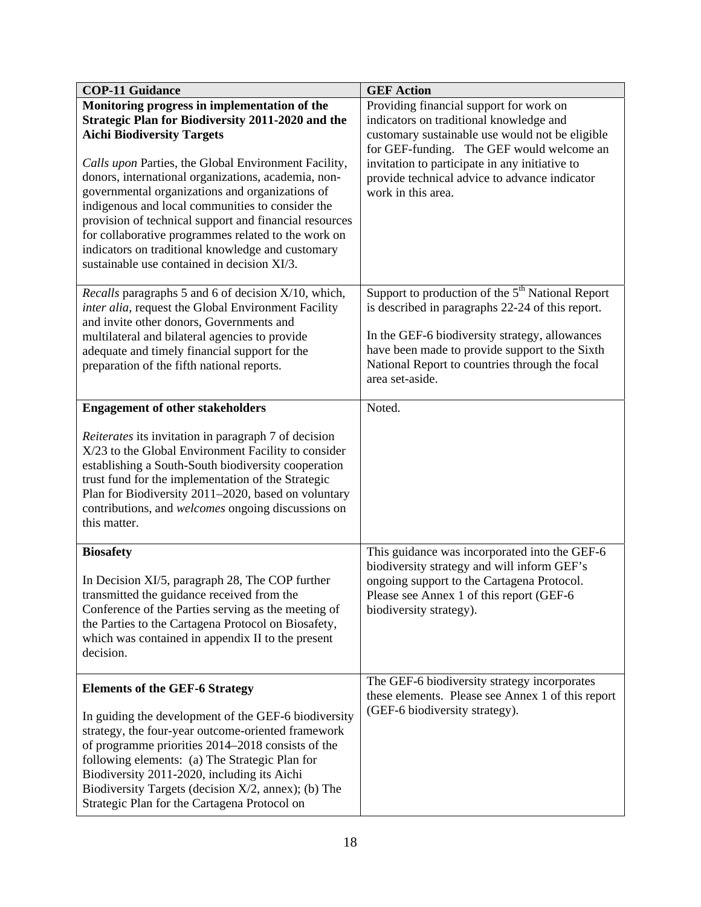| <b>COP-11 Guidance</b>                                                                                                                                                                                                                                                                                                                                                                                                                                                                                                                                                            | <b>GEF Action</b>                                                                                                                                                                                                                                                                                           |
|-----------------------------------------------------------------------------------------------------------------------------------------------------------------------------------------------------------------------------------------------------------------------------------------------------------------------------------------------------------------------------------------------------------------------------------------------------------------------------------------------------------------------------------------------------------------------------------|-------------------------------------------------------------------------------------------------------------------------------------------------------------------------------------------------------------------------------------------------------------------------------------------------------------|
| Monitoring progress in implementation of the<br>Strategic Plan for Biodiversity 2011-2020 and the<br><b>Aichi Biodiversity Targets</b><br>Calls upon Parties, the Global Environment Facility,<br>donors, international organizations, academia, non-<br>governmental organizations and organizations of<br>indigenous and local communities to consider the<br>provision of technical support and financial resources<br>for collaborative programmes related to the work on<br>indicators on traditional knowledge and customary<br>sustainable use contained in decision XI/3. | Providing financial support for work on<br>indicators on traditional knowledge and<br>customary sustainable use would not be eligible<br>for GEF-funding. The GEF would welcome an<br>invitation to participate in any initiative to<br>provide technical advice to advance indicator<br>work in this area. |
| Recalls paragraphs 5 and 6 of decision X/10, which,<br>inter alia, request the Global Environment Facility<br>and invite other donors, Governments and<br>multilateral and bilateral agencies to provide<br>adequate and timely financial support for the<br>preparation of the fifth national reports.                                                                                                                                                                                                                                                                           | Support to production of the $5th$ National Report<br>is described in paragraphs 22-24 of this report.<br>In the GEF-6 biodiversity strategy, allowances<br>have been made to provide support to the Sixth<br>National Report to countries through the focal<br>area set-aside.                             |
| <b>Engagement of other stakeholders</b>                                                                                                                                                                                                                                                                                                                                                                                                                                                                                                                                           | Noted.                                                                                                                                                                                                                                                                                                      |
| Reiterates its invitation in paragraph 7 of decision<br>X/23 to the Global Environment Facility to consider<br>establishing a South-South biodiversity cooperation<br>trust fund for the implementation of the Strategic<br>Plan for Biodiversity 2011-2020, based on voluntary<br>contributions, and welcomes ongoing discussions on<br>this matter.                                                                                                                                                                                                                             |                                                                                                                                                                                                                                                                                                             |
| <b>Biosafety</b><br>In Decision XI/5, paragraph 28, The COP further<br>transmitted the guidance received from the<br>Conference of the Parties serving as the meeting of<br>the Parties to the Cartagena Protocol on Biosafety,<br>which was contained in appendix II to the present<br>decision.                                                                                                                                                                                                                                                                                 | This guidance was incorporated into the GEF-6<br>biodiversity strategy and will inform GEF's<br>ongoing support to the Cartagena Protocol.<br>Please see Annex 1 of this report (GEF-6<br>biodiversity strategy).                                                                                           |
| <b>Elements of the GEF-6 Strategy</b><br>In guiding the development of the GEF-6 biodiversity<br>strategy, the four-year outcome-oriented framework<br>of programme priorities 2014–2018 consists of the<br>following elements: (a) The Strategic Plan for<br>Biodiversity 2011-2020, including its Aichi<br>Biodiversity Targets (decision $X/2$ , annex); (b) The<br>Strategic Plan for the Cartagena Protocol on                                                                                                                                                               | The GEF-6 biodiversity strategy incorporates<br>these elements. Please see Annex 1 of this report<br>(GEF-6 biodiversity strategy).                                                                                                                                                                         |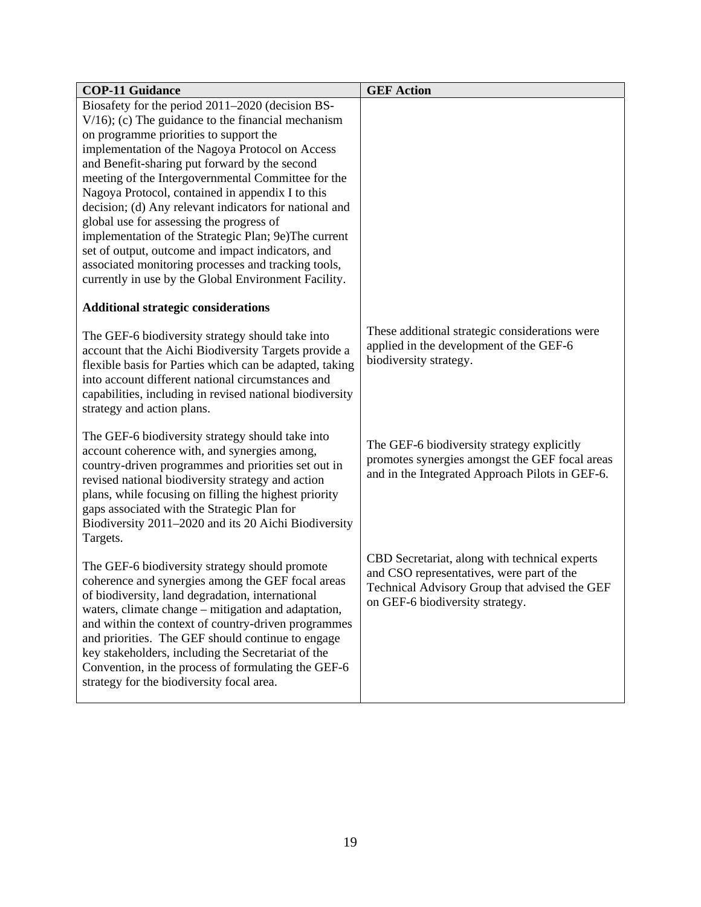| <b>COP-11 Guidance</b>                                                                                           | <b>GEF Action</b>                               |
|------------------------------------------------------------------------------------------------------------------|-------------------------------------------------|
| Biosafety for the period 2011–2020 (decision BS-                                                                 |                                                 |
| $V/16$ ; (c) The guidance to the financial mechanism                                                             |                                                 |
| on programme priorities to support the                                                                           |                                                 |
| implementation of the Nagoya Protocol on Access                                                                  |                                                 |
| and Benefit-sharing put forward by the second                                                                    |                                                 |
| meeting of the Intergovernmental Committee for the                                                               |                                                 |
| Nagoya Protocol, contained in appendix I to this                                                                 |                                                 |
| decision; (d) Any relevant indicators for national and                                                           |                                                 |
| global use for assessing the progress of                                                                         |                                                 |
| implementation of the Strategic Plan; 9e)The current                                                             |                                                 |
| set of output, outcome and impact indicators, and<br>associated monitoring processes and tracking tools,         |                                                 |
| currently in use by the Global Environment Facility.                                                             |                                                 |
|                                                                                                                  |                                                 |
| <b>Additional strategic considerations</b>                                                                       |                                                 |
|                                                                                                                  | These additional strategic considerations were  |
| The GEF-6 biodiversity strategy should take into                                                                 | applied in the development of the GEF-6         |
| account that the Aichi Biodiversity Targets provide a<br>flexible basis for Parties which can be adapted, taking | biodiversity strategy.                          |
| into account different national circumstances and                                                                |                                                 |
| capabilities, including in revised national biodiversity                                                         |                                                 |
| strategy and action plans.                                                                                       |                                                 |
|                                                                                                                  |                                                 |
| The GEF-6 biodiversity strategy should take into                                                                 |                                                 |
| account coherence with, and synergies among,                                                                     | The GEF-6 biodiversity strategy explicitly      |
| country-driven programmes and priorities set out in                                                              | promotes synergies amongst the GEF focal areas  |
| revised national biodiversity strategy and action                                                                | and in the Integrated Approach Pilots in GEF-6. |
| plans, while focusing on filling the highest priority                                                            |                                                 |
| gaps associated with the Strategic Plan for                                                                      |                                                 |
| Biodiversity 2011-2020 and its 20 Aichi Biodiversity                                                             |                                                 |
| Targets.                                                                                                         |                                                 |
| The GEF-6 biodiversity strategy should promote                                                                   | CBD Secretariat, along with technical experts   |
| coherence and synergies among the GEF focal areas                                                                | and CSO representatives, were part of the       |
| of biodiversity, land degradation, international                                                                 | Technical Advisory Group that advised the GEF   |
| waters, climate change – mitigation and adaptation,                                                              | on GEF-6 biodiversity strategy.                 |
| and within the context of country-driven programmes                                                              |                                                 |
| and priorities. The GEF should continue to engage                                                                |                                                 |
| key stakeholders, including the Secretariat of the                                                               |                                                 |
| Convention, in the process of formulating the GEF-6                                                              |                                                 |
| strategy for the biodiversity focal area.                                                                        |                                                 |
|                                                                                                                  |                                                 |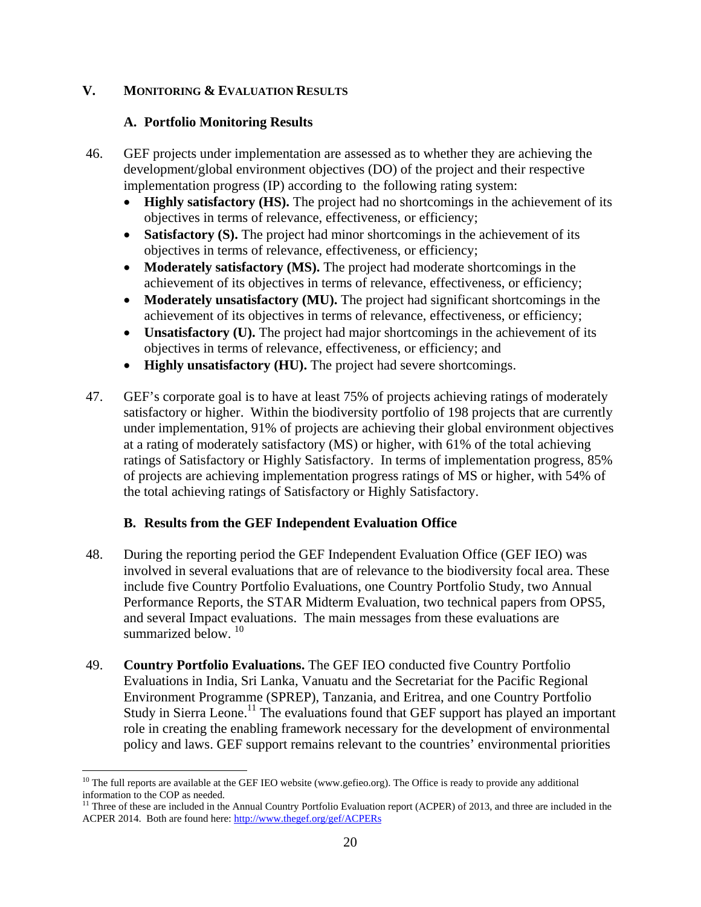### **V. MONITORING & EVALUATION RESULTS**

#### **A. Portfolio Monitoring Results**

- 46. GEF projects under implementation are assessed as to whether they are achieving the development/global environment objectives (DO) of the project and their respective implementation progress (IP) according to the following rating system:
	- **Highly satisfactory (HS).** The project had no shortcomings in the achievement of its objectives in terms of relevance, effectiveness, or efficiency;
	- **Satisfactory (S).** The project had minor shortcomings in the achievement of its objectives in terms of relevance, effectiveness, or efficiency;
	- **Moderately satisfactory (MS).** The project had moderate shortcomings in the achievement of its objectives in terms of relevance, effectiveness, or efficiency;
	- **Moderately unsatisfactory (MU).** The project had significant shortcomings in the achievement of its objectives in terms of relevance, effectiveness, or efficiency;
	- **Unsatisfactory (U).** The project had major shortcomings in the achievement of its objectives in terms of relevance, effectiveness, or efficiency; and
	- **Highly unsatisfactory (HU).** The project had severe shortcomings.
- 47. GEF's corporate goal is to have at least 75% of projects achieving ratings of moderately satisfactory or higher. Within the biodiversity portfolio of 198 projects that are currently under implementation, 91% of projects are achieving their global environment objectives at a rating of moderately satisfactory (MS) or higher, with 61% of the total achieving ratings of Satisfactory or Highly Satisfactory. In terms of implementation progress, 85% of projects are achieving implementation progress ratings of MS or higher, with 54% of the total achieving ratings of Satisfactory or Highly Satisfactory.

### **B. Results from the GEF Independent Evaluation Office**

- 48. During the reporting period the GEF Independent Evaluation Office (GEF IEO) was involved in several evaluations that are of relevance to the biodiversity focal area. These include five Country Portfolio Evaluations, one Country Portfolio Study, two Annual Performance Reports, the STAR Midterm Evaluation, two technical papers from OPS5, and several Impact evaluations. The main messages from these evaluations are summarized below.  $10^{-10}$
- 49. **Country Portfolio Evaluations.** The GEF IEO conducted five Country Portfolio Evaluations in India, Sri Lanka, Vanuatu and the Secretariat for the Pacific Regional Environment Programme (SPREP), Tanzania, and Eritrea, and one Country Portfolio Study in Sierra Leone.<sup>11</sup> The evaluations found that GEF support has played an important role in creating the enabling framework necessary for the development of environmental policy and laws. GEF support remains relevant to the countries' environmental priorities

<sup>1</sup> <sup>10</sup> The full reports are available at the GEF IEO website (www.gefieo.org). The Office is ready to provide any additional information to the COP as needed.

<sup>&</sup>lt;sup>11</sup> Three of these are included in the Annual Country Portfolio Evaluation report (ACPER) of 2013, and three are included in the ACPER 2014. Both are found here: http://www.thegef.org/gef/ACPERs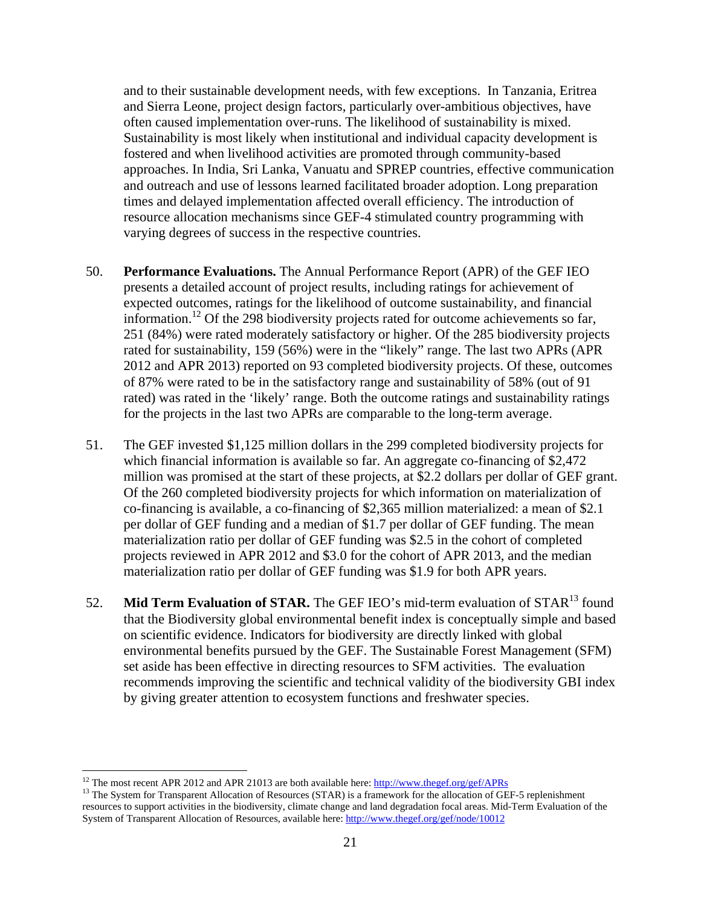and to their sustainable development needs, with few exceptions. In Tanzania, Eritrea and Sierra Leone, project design factors, particularly over-ambitious objectives, have often caused implementation over-runs. The likelihood of sustainability is mixed. Sustainability is most likely when institutional and individual capacity development is fostered and when livelihood activities are promoted through community-based approaches. In India, Sri Lanka, Vanuatu and SPREP countries, effective communication and outreach and use of lessons learned facilitated broader adoption. Long preparation times and delayed implementation affected overall efficiency. The introduction of resource allocation mechanisms since GEF-4 stimulated country programming with varying degrees of success in the respective countries.

- 50. **Performance Evaluations.** The Annual Performance Report (APR) of the GEF IEO presents a detailed account of project results, including ratings for achievement of expected outcomes, ratings for the likelihood of outcome sustainability, and financial information.<sup>12</sup> Of the 298 biodiversity projects rated for outcome achievements so far, 251 (84%) were rated moderately satisfactory or higher. Of the 285 biodiversity projects rated for sustainability, 159 (56%) were in the "likely" range. The last two APRs (APR 2012 and APR 2013) reported on 93 completed biodiversity projects. Of these, outcomes of 87% were rated to be in the satisfactory range and sustainability of 58% (out of 91 rated) was rated in the 'likely' range. Both the outcome ratings and sustainability ratings for the projects in the last two APRs are comparable to the long-term average.
- 51. The GEF invested \$1,125 million dollars in the 299 completed biodiversity projects for which financial information is available so far. An aggregate co-financing of \$2,472 million was promised at the start of these projects, at \$2.2 dollars per dollar of GEF grant. Of the 260 completed biodiversity projects for which information on materialization of co-financing is available, a co-financing of \$2,365 million materialized: a mean of \$2.1 per dollar of GEF funding and a median of \$1.7 per dollar of GEF funding. The mean materialization ratio per dollar of GEF funding was \$2.5 in the cohort of completed projects reviewed in APR 2012 and \$3.0 for the cohort of APR 2013, and the median materialization ratio per dollar of GEF funding was \$1.9 for both APR years.
- 52. **Mid Term Evaluation of STAR.** The GEF IEO's mid-term evaluation of STAR<sup>13</sup> found that the Biodiversity global environmental benefit index is conceptually simple and based on scientific evidence. Indicators for biodiversity are directly linked with global environmental benefits pursued by the GEF. The Sustainable Forest Management (SFM) set aside has been effective in directing resources to SFM activities. The evaluation recommends improving the scientific and technical validity of the biodiversity GBI index by giving greater attention to ecosystem functions and freshwater species.

<sup>&</sup>lt;sup>12</sup> The most recent APR 2012 and APR 21013 are both available here: http://www.thegef.org/gef/APRs

<sup>&</sup>lt;sup>13</sup> The System for Transparent Allocation of Resources (STAR) is a framework for the allocation of GEF-5 replenishment resources to support activities in the biodiversity, climate change and land degradation focal areas. Mid-Term Evaluation of the System of Transparent Allocation of Resources, available here: http://www.thegef.org/gef/node/10012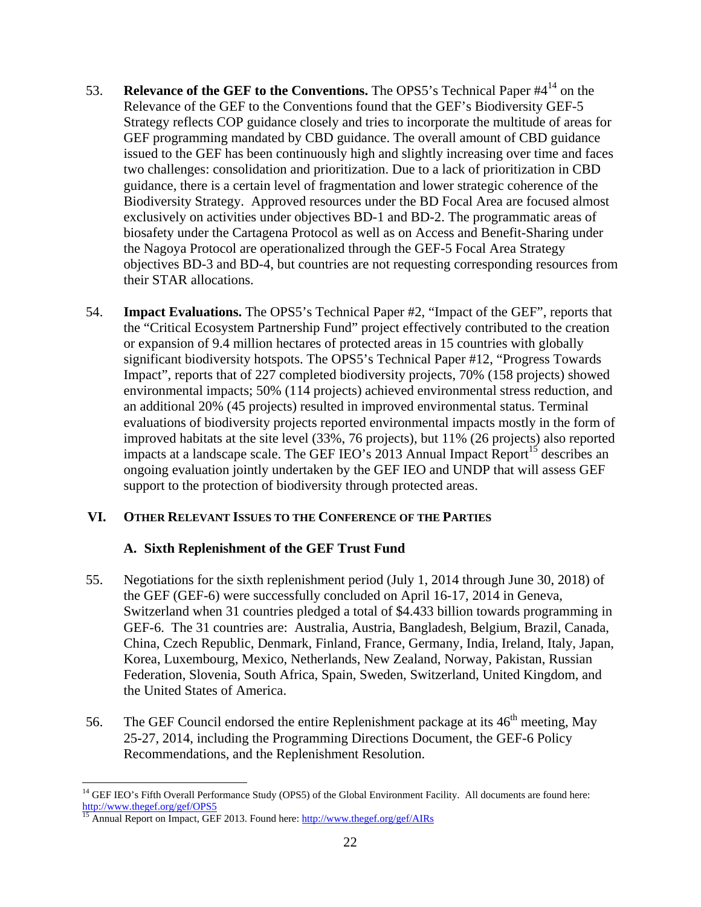- 53. **Relevance of the GEF to the Conventions.** The OPS5's Technical Paper #414 on the Relevance of the GEF to the Conventions found that the GEF's Biodiversity GEF-5 Strategy reflects COP guidance closely and tries to incorporate the multitude of areas for GEF programming mandated by CBD guidance. The overall amount of CBD guidance issued to the GEF has been continuously high and slightly increasing over time and faces two challenges: consolidation and prioritization. Due to a lack of prioritization in CBD guidance, there is a certain level of fragmentation and lower strategic coherence of the Biodiversity Strategy. Approved resources under the BD Focal Area are focused almost exclusively on activities under objectives BD-1 and BD-2. The programmatic areas of biosafety under the Cartagena Protocol as well as on Access and Benefit-Sharing under the Nagoya Protocol are operationalized through the GEF-5 Focal Area Strategy objectives BD-3 and BD-4, but countries are not requesting corresponding resources from their STAR allocations.
- 54. **Impact Evaluations.** The OPS5's Technical Paper #2, "Impact of the GEF", reports that the "Critical Ecosystem Partnership Fund" project effectively contributed to the creation or expansion of 9.4 million hectares of protected areas in 15 countries with globally significant biodiversity hotspots. The OPS5's Technical Paper #12, "Progress Towards Impact", reports that of 227 completed biodiversity projects, 70% (158 projects) showed environmental impacts; 50% (114 projects) achieved environmental stress reduction, and an additional 20% (45 projects) resulted in improved environmental status. Terminal evaluations of biodiversity projects reported environmental impacts mostly in the form of improved habitats at the site level (33%, 76 projects), but 11% (26 projects) also reported impacts at a landscape scale. The GEF IEO's 2013 Annual Impact Report<sup>15</sup> describes an ongoing evaluation jointly undertaken by the GEF IEO and UNDP that will assess GEF support to the protection of biodiversity through protected areas.

### **VI. OTHER RELEVANT ISSUES TO THE CONFERENCE OF THE PARTIES**

#### **A. Sixth Replenishment of the GEF Trust Fund**

- 55. Negotiations for the sixth replenishment period (July 1, 2014 through June 30, 2018) of the GEF (GEF-6) were successfully concluded on April 16-17, 2014 in Geneva, Switzerland when 31 countries pledged a total of \$4.433 billion towards programming in GEF-6. The 31 countries are: Australia, Austria, Bangladesh, Belgium, Brazil, Canada, China, Czech Republic, Denmark, Finland, France, Germany, India, Ireland, Italy, Japan, Korea, Luxembourg, Mexico, Netherlands, New Zealand, Norway, Pakistan, Russian Federation, Slovenia, South Africa, Spain, Sweden, Switzerland, United Kingdom, and the United States of America.
- 56. The GEF Council endorsed the entire Replenishment package at its  $46<sup>th</sup>$  meeting, May 25-27, 2014, including the Programming Directions Document, the GEF-6 Policy Recommendations, and the Replenishment Resolution.

 $\overline{a}$ 

<sup>&</sup>lt;sup>14</sup> GEF IEO's Fifth Overall Performance Study (OPS5) of the Global Environment Facility. All documents are found here:<br>http://www.thegef.org/gef/OPS5

<sup>&</sup>lt;sup>15</sup> Annual Report on Impact, GEF 2013. Found here: http://www.thegef.org/gef/AIRs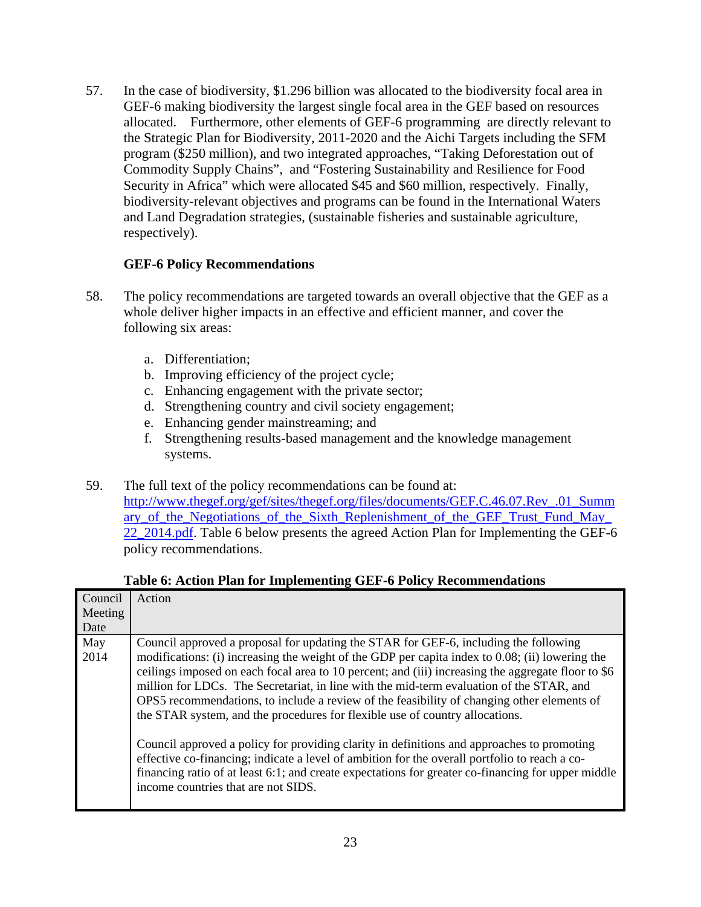57. In the case of biodiversity, \$1.296 billion was allocated to the biodiversity focal area in GEF-6 making biodiversity the largest single focal area in the GEF based on resources allocated. Furthermore, other elements of GEF-6 programming are directly relevant to the Strategic Plan for Biodiversity, 2011-2020 and the Aichi Targets including the SFM program (\$250 million), and two integrated approaches, "Taking Deforestation out of Commodity Supply Chains", and "Fostering Sustainability and Resilience for Food Security in Africa" which were allocated \$45 and \$60 million, respectively. Finally, biodiversity-relevant objectives and programs can be found in the International Waters and Land Degradation strategies, (sustainable fisheries and sustainable agriculture, respectively).

### **GEF-6 Policy Recommendations**

- 58. The policy recommendations are targeted towards an overall objective that the GEF as a whole deliver higher impacts in an effective and efficient manner, and cover the following six areas:
	- a. Differentiation;
	- b. Improving efficiency of the project cycle;
	- c. Enhancing engagement with the private sector;
	- d. Strengthening country and civil society engagement;
	- e. Enhancing gender mainstreaming; and
	- f. Strengthening results-based management and the knowledge management systems.
- 59. The full text of the policy recommendations can be found at: http://www.thegef.org/gef/sites/thegef.org/files/documents/GEF.C.46.07.Rev\_.01\_Summ ary of the Negotiations of the Sixth Replenishment of the GEF Trust Fund May 22 2014.pdf. Table 6 below presents the agreed Action Plan for Implementing the GEF-6 policy recommendations.

| Table 6: Action Plan for Implementing GEF-6 Policy Recommendations |                                                                                                                                                                                                                                                                                                                                                                                                                                                                                                                                                                         |
|--------------------------------------------------------------------|-------------------------------------------------------------------------------------------------------------------------------------------------------------------------------------------------------------------------------------------------------------------------------------------------------------------------------------------------------------------------------------------------------------------------------------------------------------------------------------------------------------------------------------------------------------------------|
| Council<br>Meeting<br>Date                                         | Action                                                                                                                                                                                                                                                                                                                                                                                                                                                                                                                                                                  |
| May<br>2014                                                        | Council approved a proposal for updating the STAR for GEF-6, including the following<br>modifications: (i) increasing the weight of the GDP per capita index to 0.08; (ii) lowering the<br>ceilings imposed on each focal area to 10 percent; and (iii) increasing the aggregate floor to \$6<br>million for LDCs. The Secretariat, in line with the mid-term evaluation of the STAR, and<br>OPS5 recommendations, to include a review of the feasibility of changing other elements of<br>the STAR system, and the procedures for flexible use of country allocations. |
|                                                                    | Council approved a policy for providing clarity in definitions and approaches to promoting<br>effective co-financing; indicate a level of ambition for the overall portfolio to reach a co-<br>financing ratio of at least 6:1; and create expectations for greater co-financing for upper middle<br>income countries that are not SIDS.                                                                                                                                                                                                                                |

#### **Table 6: Action Plan for Implementing GEF-6 Policy Recommendations**